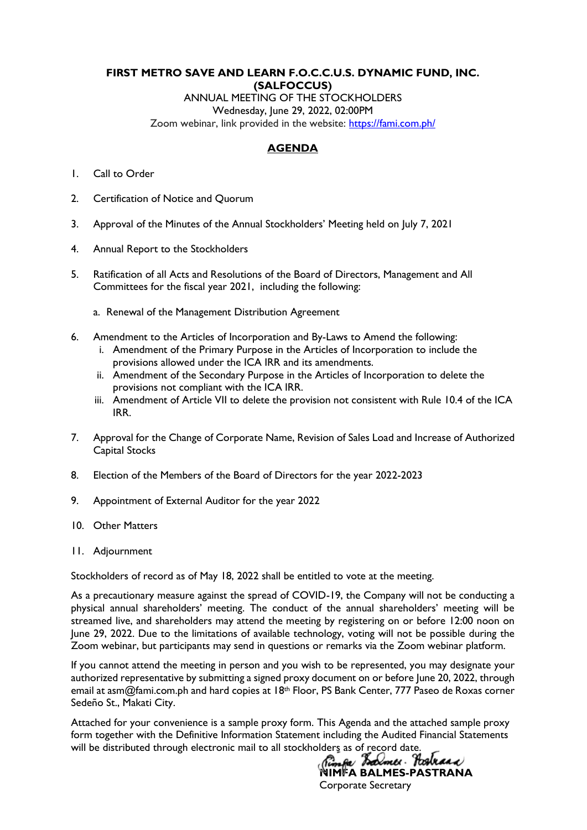# **FIRST METRO SAVE AND LEARN F.O.C.C.U.S. DYNAMIC FUND, INC. (SALFOCCUS)**

ANNUAL MEETING OF THE STOCKHOLDERS Wednesday, June 29, 2022, 02:00PM Zoom webinar, link provided in the website: [https://fami.com.ph/](https://fami.com.ph/tag/pressroom/)

# **AGENDA**

- 1. Call to Order
- 2. Certification of Notice and Quorum
- 3. Approval of the Minutes of the Annual Stockholders' Meeting held on July 7, 2021
- 4. Annual Report to the Stockholders
- 5. Ratification of all Acts and Resolutions of the Board of Directors, Management and All Committees for the fiscal year 2021, including the following:
	- a. Renewal of the Management Distribution Agreement
- 6. Amendment to the Articles of Incorporation and By-Laws to Amend the following:
	- i. Amendment of the Primary Purpose in the Articles of Incorporation to include the provisions allowed under the ICA IRR and its amendments.
	- ii. Amendment of the Secondary Purpose in the Articles of Incorporation to delete the provisions not compliant with the ICA IRR.
	- iii. Amendment of Article VII to delete the provision not consistent with Rule 10.4 of the ICA IRR.
- 7. Approval for the Change of Corporate Name, Revision of Sales Load and Increase of Authorized Capital Stocks
- 8. Election of the Members of the Board of Directors for the year 2022-2023
- 9. Appointment of External Auditor for the year 2022
- 10. Other Matters
- 11. Adjournment

Stockholders of record as of May 18, 2022 shall be entitled to vote at the meeting.

As a precautionary measure against the spread of COVID-19, the Company will not be conducting a physical annual shareholders' meeting. The conduct of the annual shareholders' meeting will be streamed live, and shareholders may attend the meeting by registering on or before 12:00 noon on June 29, 2022. Due to the limitations of available technology, voting will not be possible during the Zoom webinar, but participants may send in questions or remarks via the Zoom webinar platform.

If you cannot attend the meeting in person and you wish to be represented, you may designate your authorized representative by submitting a signed proxy document on or before June 20, 2022, through email at asm@fami.com.ph and hard copies at 18<sup>th</sup> Floor, PS Bank Center, 777 Paseo de Roxas corner Sedeño St., Makati City.

Attached for your convenience is a sample proxy form. This Agenda and the attached sample proxy form together with the Definitive Information Statement including the Audited Financial Statements will be distributed through electronic mail to all stockholders as of record date.<br>(*immed Toolweed Yourlee Toolweed)* 

**NIMFA BALMES-PASTRANA**  Corporate Secretary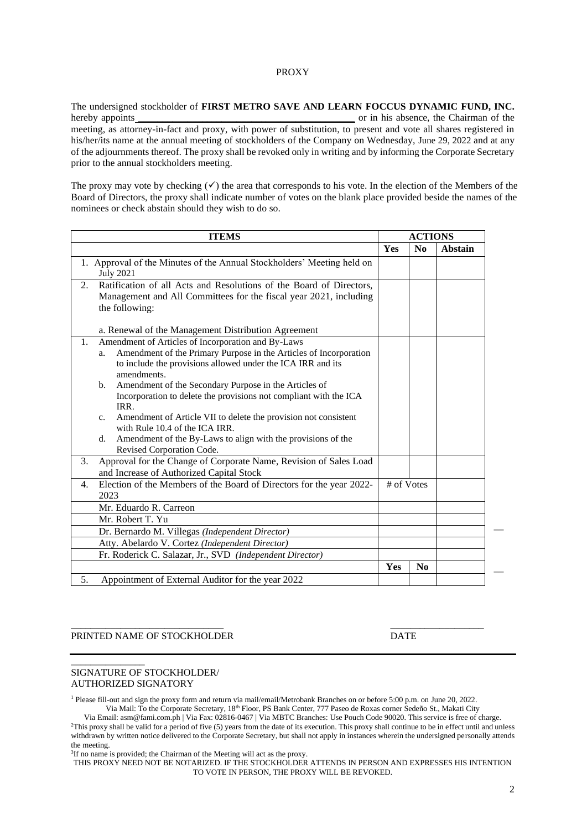#### PROXY

The undersigned stockholder of **FIRST METRO SAVE AND LEARN FOCCUS DYNAMIC FUND, INC.**  hereby appoints **the contract of the Chairman of the Chairman** of the Chairman of the Chairman of the Chairman of the Chairman of the Chairman of the Chairman of the Chairman of the Chairman of the Chairman of the Chairman meeting, as attorney-in-fact and proxy, with power of substitution, to present and vote all shares registered in his/her/its name at the annual meeting of stockholders of the Company on Wednesday, June 29, 2022 and at any of the adjournments thereof. The proxy shall be revoked only in writing and by informing the Corporate Secretary prior to the annual stockholders meeting.

The proxy may vote by checking  $(\checkmark)$  the area that corresponds to his vote. In the election of the Members of the Board of Directors, the proxy shall indicate number of votes on the blank place provided beside the names of the nominees or check abstain should they wish to do so.

| <b>ITEMS</b>                                                                                                                                                                                                                  | <b>ACTIONS</b> |                |         |
|-------------------------------------------------------------------------------------------------------------------------------------------------------------------------------------------------------------------------------|----------------|----------------|---------|
|                                                                                                                                                                                                                               | Yes            | N <sub>0</sub> | Abstain |
| 1. Approval of the Minutes of the Annual Stockholders' Meeting held on<br><b>July 2021</b>                                                                                                                                    |                |                |         |
| Ratification of all Acts and Resolutions of the Board of Directors,<br>2.<br>Management and All Committees for the fiscal year 2021, including<br>the following:<br>a. Renewal of the Management Distribution Agreement       |                |                |         |
| Amendment of Articles of Incorporation and By-Laws<br>$\mathbf{1}$ .<br>Amendment of the Primary Purpose in the Articles of Incorporation<br>a.<br>to include the provisions allowed under the ICA IRR and its<br>amendments. |                |                |         |
| Amendment of the Secondary Purpose in the Articles of<br>b.<br>Incorporation to delete the provisions not compliant with the ICA<br>IRR.                                                                                      |                |                |         |
| Amendment of Article VII to delete the provision not consistent<br>$\mathbf{c}$ .<br>with Rule 10.4 of the ICA IRR.                                                                                                           |                |                |         |
| Amendment of the By-Laws to align with the provisions of the<br>d.<br>Revised Corporation Code.                                                                                                                               |                |                |         |
| Approval for the Change of Corporate Name, Revision of Sales Load<br>3.<br>and Increase of Authorized Capital Stock                                                                                                           |                |                |         |
| Election of the Members of the Board of Directors for the year 2022-<br>4.<br>2023                                                                                                                                            | # of Votes     |                |         |
| Mr. Eduardo R. Carreon                                                                                                                                                                                                        |                |                |         |
| Mr. Robert T. Yu                                                                                                                                                                                                              |                |                |         |
| Dr. Bernardo M. Villegas (Independent Director)                                                                                                                                                                               |                |                |         |
| Atty. Abelardo V. Cortez (Independent Director)                                                                                                                                                                               |                |                |         |
| Fr. Roderick C. Salazar, Jr., SVD (Independent Director)                                                                                                                                                                      |                |                |         |
|                                                                                                                                                                                                                               | Yes            | N <sub>0</sub> |         |
| Appointment of External Auditor for the year 2022<br>5.                                                                                                                                                                       |                |                |         |

#### \_\_\_\_\_\_\_\_\_\_\_\_\_\_\_\_\_\_\_\_\_\_\_\_\_\_\_\_\_\_\_ \_\_\_\_\_\_\_\_\_\_\_\_\_\_\_\_\_\_\_ PRINTED NAME OF STOCKHOLDER DATE

#### SIGNATURE OF STOCKHOLDER/ AUTHORIZED SIGNATORY

\_\_\_\_\_\_\_\_\_\_\_\_\_\_\_

<sup>1</sup> Please fill-out and sign the proxy form and return via mail/email/Metrobank Branches on or before 5:00 p.m. on June 20, 2022. Via Mail: To the Corporate Secretary, 18th Floor, PS Bank Center, 777 Paseo de Roxas corner Sedeño St., Makati City

Via Email: asm@fami.com.ph | Via Fax: 02816-0467 | Via MBTC Branches: Use Pouch Code 90020. This service is free of charge. <sup>2</sup>This proxy shall be valid for a period of five (5) years from the date of its execution. This proxy shall continue to be in effect until and unless withdrawn by written notice delivered to the Corporate Secretary, but shall not apply in instances wherein the undersigned personally attends the meeting.

<sup>3</sup>If no name is provided; the Chairman of the Meeting will act as the proxy.

THIS PROXY NEED NOT BE NOTARIZED. IF THE STOCKHOLDER ATTENDS IN PERSON AND EXPRESSES HIS INTENTION TO VOTE IN PERSON, THE PROXY WILL BE REVOKED.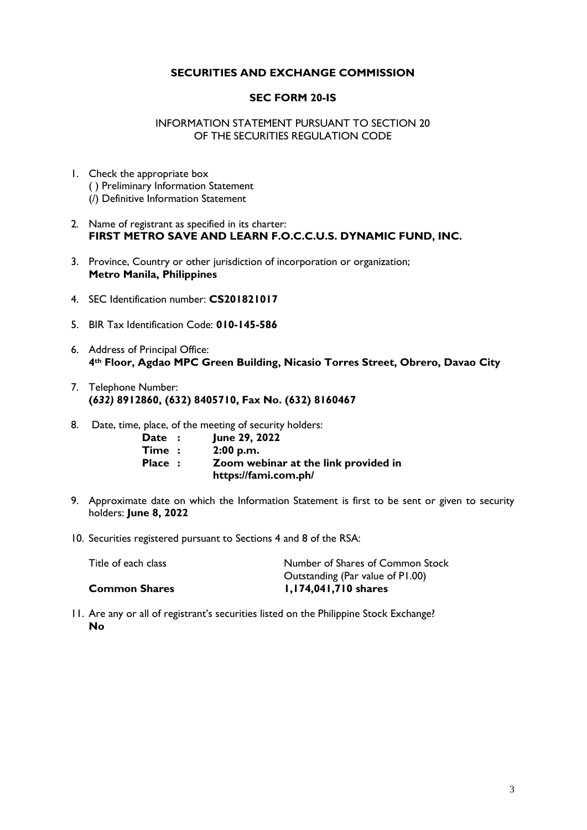# **SECURITIES AND EXCHANGE COMMISSION**

## **SEC FORM 20-IS**

## INFORMATION STATEMENT PURSUANT TO SECTION 20 OF THE SECURITIES REGULATION CODE

- 1. Check the appropriate box ( ) Preliminary Information Statement (/) Definitive Information Statement
- 2. Name of registrant as specified in its charter: **FIRST METRO SAVE AND LEARN F.O.C.C.U.S. DYNAMIC FUND, INC.**
- 3. Province, Country or other jurisdiction of incorporation or organization; **Metro Manila, Philippines**
- 4. SEC Identification number: **CS201821017**
- 5. BIR Tax Identification Code: **010-145-586**
- 6. Address of Principal Office: **4th Floor, Agdao MPC Green Building, Nicasio Torres Street, Obrero, Davao City**
- 7. Telephone Number: **(***632)* **8912860, (632) 8405710, Fax No. (632) 8160467**
- 8. Date, time, place, of the meeting of security holders:

| Date :               | June 29, 2022                        |
|----------------------|--------------------------------------|
| $\mathsf{Time} \; :$ | 2:00 p.m.                            |
| Place :              | Zoom webinar at the link provided in |
|                      | https://fami.com.ph/                 |

- 9. Approximate date on which the Information Statement is first to be sent or given to security holders: **June 8, 2022**
- 10. Securities registered pursuant to Sections 4 and 8 of the RSA:

| Title of each class  | Number of Shares of Common Stock |
|----------------------|----------------------------------|
|                      | Outstanding (Par value of P1.00) |
| <b>Common Shares</b> | I, 174, 041, 710 shares          |

11. Are any or all of registrant's securities listed on the Philippine Stock Exchange? **No**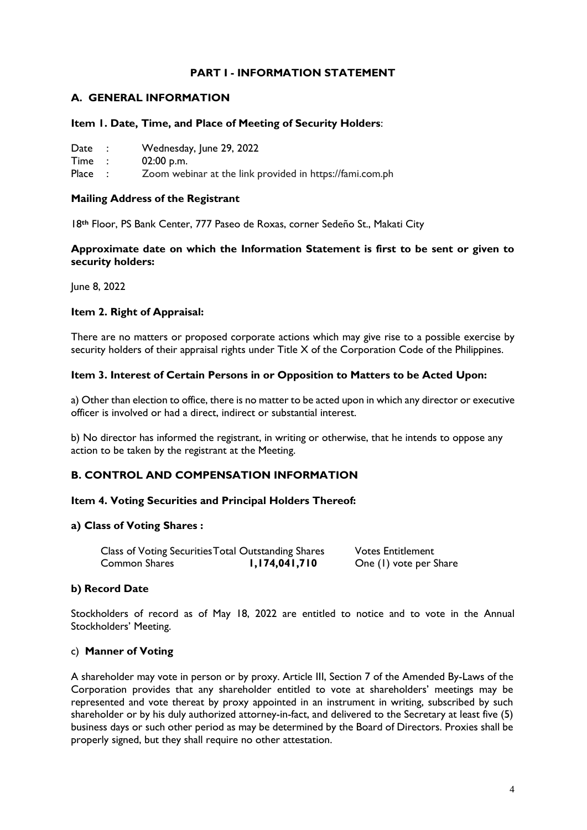# **PART I - INFORMATION STATEMENT**

# **A. GENERAL INFORMATION**

### **Item 1. Date, Time, and Place of Meeting of Security Holders**:

| Date |  | Wednesday, June 29, 2022 |
|------|--|--------------------------|
|------|--|--------------------------|

Time : 02:00 p.m.

Place : Zoom webinar at the link provided in https://fami.com.ph

## **Mailing Address of the Registrant**

18**th** Floor, PS Bank Center, 777 Paseo de Roxas, corner Sedeño St., Makati City

## **Approximate date on which the Information Statement is first to be sent or given to security holders:**

June 8, 2022

### **Item 2. Right of Appraisal:**

There are no matters or proposed corporate actions which may give rise to a possible exercise by security holders of their appraisal rights under Title X of the Corporation Code of the Philippines.

### **Item 3. Interest of Certain Persons in or Opposition to Matters to be Acted Upon:**

a) Other than election to office, there is no matter to be acted upon in which any director or executive officer is involved or had a direct, indirect or substantial interest.

b) No director has informed the registrant, in writing or otherwise, that he intends to oppose any action to be taken by the registrant at the Meeting.

# **B. CONTROL AND COMPENSATION INFORMATION**

### **Item 4. Voting Securities and Principal Holders Thereof:**

### **a) Class of Voting Shares :**

| Class of Voting Securities Total Outstanding Shares |               | <b>Votes Entitlement</b> |
|-----------------------------------------------------|---------------|--------------------------|
| Common Shares                                       | 1,174,041,710 | One (1) vote per Share   |

### **b) Record Date**

Stockholders of record as of May 18, 2022 are entitled to notice and to vote in the Annual Stockholders' Meeting.

### c) **Manner of Voting**

A shareholder may vote in person or by proxy. Article III, Section 7 of the Amended By-Laws of the Corporation provides that any shareholder entitled to vote at shareholders' meetings may be represented and vote thereat by proxy appointed in an instrument in writing, subscribed by such shareholder or by his duly authorized attorney-in-fact, and delivered to the Secretary at least five (5) business days or such other period as may be determined by the Board of Directors. Proxies shall be properly signed, but they shall require no other attestation.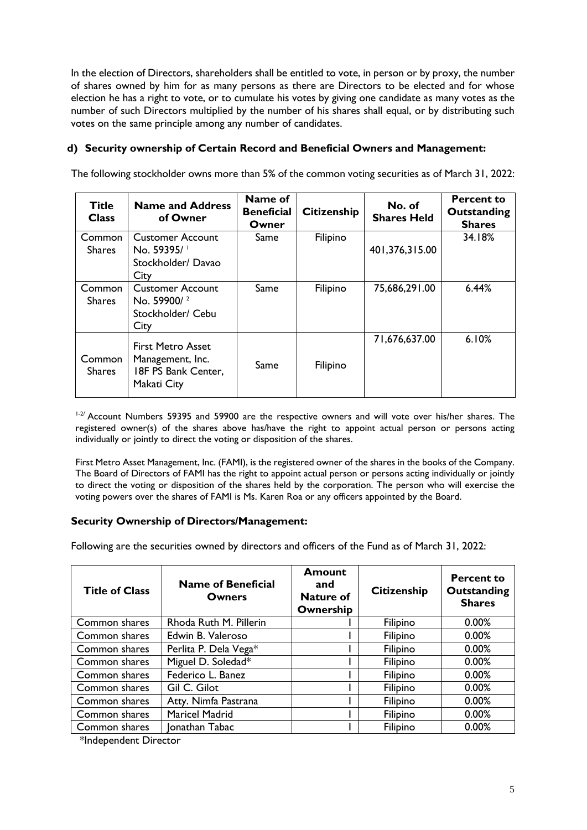In the election of Directors, shareholders shall be entitled to vote, in person or by proxy, the number of shares owned by him for as many persons as there are Directors to be elected and for whose election he has a right to vote, or to cumulate his votes by giving one candidate as many votes as the number of such Directors multiplied by the number of his shares shall equal, or by distributing such votes on the same principle among any number of candidates.

# **d) Security ownership of Certain Record and Beneficial Owners and Management:**

The following stockholder owns more than 5% of the common voting securities as of March 31, 2022:

| <b>Title</b><br><b>Class</b> | <b>Name and Address</b><br>of Owner                                                | Name of<br><b>Beneficial</b><br>Owner | <b>Citizenship</b> | No. of<br><b>Shares Held</b> | <b>Percent to</b><br>Outstanding<br><b>Shares</b> |
|------------------------------|------------------------------------------------------------------------------------|---------------------------------------|--------------------|------------------------------|---------------------------------------------------|
| Common<br><b>Shares</b>      | <b>Customer Account</b><br>No. 59395/                                              | Same                                  | Filipino           | 401,376,315.00               | 34.18%                                            |
|                              | Stockholder/Davao<br>City                                                          |                                       |                    |                              |                                                   |
| Common                       | <b>Customer Account</b>                                                            | Same                                  | Filipino           | 75,686,291.00                | 6.44%                                             |
| <b>Shares</b>                | No. 59900/2<br>Stockholder/ Cebu                                                   |                                       |                    |                              |                                                   |
|                              | City                                                                               |                                       |                    |                              |                                                   |
| Common<br>Shares             | <b>First Metro Asset</b><br>Management, Inc.<br>18F PS Bank Center,<br>Makati City | Same                                  | Filipino           | 71,676,637.00                | 6.10%                                             |

<sup>1-2/</sup> Account Numbers 59395 and 59900 are the respective owners and will vote over his/her shares. The registered owner(s) of the shares above has/have the right to appoint actual person or persons acting individually or jointly to direct the voting or disposition of the shares.

First Metro Asset Management, Inc. (FAMI), is the registered owner of the shares in the books of the Company. The Board of Directors of FAMI has the right to appoint actual person or persons acting individually or jointly to direct the voting or disposition of the shares held by the corporation. The person who will exercise the voting powers over the shares of FAMI is Ms. Karen Roa or any officers appointed by the Board.

# **Security Ownership of Directors/Management:**

Following are the securities owned by directors and officers of the Fund as of March 31, 2022:

| <b>Title of Class</b> | <b>Name of Beneficial</b><br><b>Owners</b> | Amount<br>and<br><b>Nature of</b><br>Ownership | <b>Citizenship</b> | <b>Percent to</b><br>Outstanding<br><b>Shares</b> |
|-----------------------|--------------------------------------------|------------------------------------------------|--------------------|---------------------------------------------------|
| Common shares         | Rhoda Ruth M. Pillerin                     |                                                | Filipino           | 0.00%                                             |
| Common shares         | Edwin B. Valeroso                          |                                                | Filipino           | 0.00%                                             |
| Common shares         | Perlita P. Dela Vega*                      |                                                | Filipino           | 0.00%                                             |
| Common shares         | Miguel D. Soledad*                         |                                                | Filipino           | 0.00%                                             |
| Common shares         | Federico L. Banez                          |                                                | Filipino           | 0.00%                                             |
| Common shares         | Gil C. Gilot                               |                                                | Filipino           | 0.00%                                             |
| Common shares         | Atty. Nimfa Pastrana                       |                                                | Filipino           | 0.00%                                             |
| Common shares         | Maricel Madrid                             |                                                | Filipino           | 0.00%                                             |
| Common shares         | Ionathan Tabac                             |                                                | Filipino           | 0.00%                                             |

\*Independent Director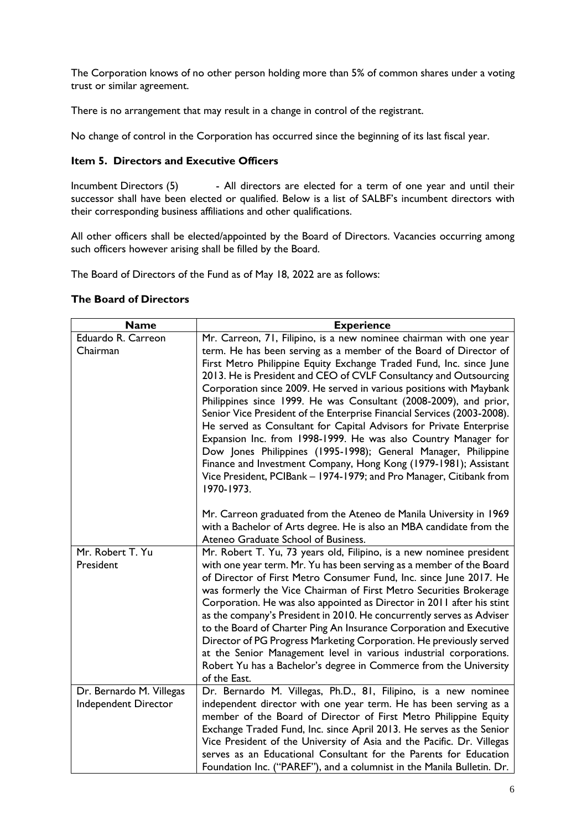The Corporation knows of no other person holding more than 5% of common shares under a voting trust or similar agreement.

There is no arrangement that may result in a change in control of the registrant.

No change of control in the Corporation has occurred since the beginning of its last fiscal year.

# **Item 5. Directors and Executive Officers**

Incumbent Directors (5) - All directors are elected for a term of one year and until their successor shall have been elected or qualified. Below is a list of SALBF's incumbent directors with their corresponding business affiliations and other qualifications.

All other officers shall be elected/appointed by the Board of Directors. Vacancies occurring among such officers however arising shall be filled by the Board.

The Board of Directors of the Fund as of May 18, 2022 are as follows:

### **The Board of Directors**

| <b>Name</b>                                      | <b>Experience</b>                                                                                                                                                                                                                                                                                                                                                                                                                                                                                                                                                                                                                                                                                                                                                                                                                                                              |
|--------------------------------------------------|--------------------------------------------------------------------------------------------------------------------------------------------------------------------------------------------------------------------------------------------------------------------------------------------------------------------------------------------------------------------------------------------------------------------------------------------------------------------------------------------------------------------------------------------------------------------------------------------------------------------------------------------------------------------------------------------------------------------------------------------------------------------------------------------------------------------------------------------------------------------------------|
| Eduardo R. Carreon<br>Chairman                   | Mr. Carreon, 71, Filipino, is a new nominee chairman with one year<br>term. He has been serving as a member of the Board of Director of<br>First Metro Philippine Equity Exchange Traded Fund, Inc. since June<br>2013. He is President and CEO of CVLF Consultancy and Outsourcing<br>Corporation since 2009. He served in various positions with Maybank<br>Philippines since 1999. He was Consultant (2008-2009), and prior,<br>Senior Vice President of the Enterprise Financial Services (2003-2008).<br>He served as Consultant for Capital Advisors for Private Enterprise<br>Expansion Inc. from 1998-1999. He was also Country Manager for<br>Dow Jones Philippines (1995-1998); General Manager, Philippine<br>Finance and Investment Company, Hong Kong (1979-1981); Assistant<br>Vice President, PCIBank - 1974-1979; and Pro Manager, Citibank from<br>1970-1973. |
|                                                  | Mr. Carreon graduated from the Ateneo de Manila University in 1969<br>with a Bachelor of Arts degree. He is also an MBA candidate from the<br>Ateneo Graduate School of Business.                                                                                                                                                                                                                                                                                                                                                                                                                                                                                                                                                                                                                                                                                              |
| Mr. Robert T. Yu<br>President                    | Mr. Robert T. Yu, 73 years old, Filipino, is a new nominee president<br>with one year term. Mr. Yu has been serving as a member of the Board<br>of Director of First Metro Consumer Fund, Inc. since June 2017. He<br>was formerly the Vice Chairman of First Metro Securities Brokerage<br>Corporation. He was also appointed as Director in 2011 after his stint<br>as the company's President in 2010. He concurrently serves as Adviser<br>to the Board of Charter Ping An Insurance Corporation and Executive<br>Director of PG Progress Marketing Corporation. He previously served<br>at the Senior Management level in various industrial corporations.<br>Robert Yu has a Bachelor's degree in Commerce from the University<br>of the East.                                                                                                                           |
| Dr. Bernardo M. Villegas<br>Independent Director | Dr. Bernardo M. Villegas, Ph.D., 81, Filipino, is a new nominee<br>independent director with one year term. He has been serving as a<br>member of the Board of Director of First Metro Philippine Equity<br>Exchange Traded Fund, Inc. since April 2013. He serves as the Senior<br>Vice President of the University of Asia and the Pacific. Dr. Villegas<br>serves as an Educational Consultant for the Parents for Education<br>Foundation Inc. ("PAREF"), and a columnist in the Manila Bulletin. Dr.                                                                                                                                                                                                                                                                                                                                                                      |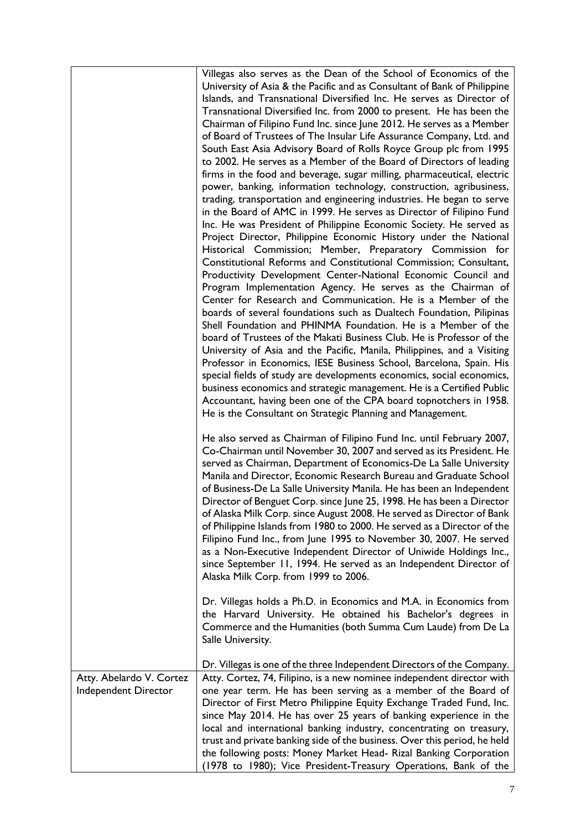|                                                  | Villegas also serves as the Dean of the School of Economics of the<br>University of Asia & the Pacific and as Consultant of Bank of Philippine<br>Islands, and Transnational Diversified Inc. He serves as Director of<br>Transnational Diversified Inc. from 2000 to present. He has been the<br>Chairman of Filipino Fund Inc. since June 2012. He serves as a Member<br>of Board of Trustees of The Insular Life Assurance Company, Ltd. and<br>South East Asia Advisory Board of Rolls Royce Group plc from 1995<br>to 2002. He serves as a Member of the Board of Directors of leading<br>firms in the food and beverage, sugar milling, pharmaceutical, electric<br>power, banking, information technology, construction, agribusiness,<br>trading, transportation and engineering industries. He began to serve<br>in the Board of AMC in 1999. He serves as Director of Filipino Fund<br>Inc. He was President of Philippine Economic Society. He served as<br>Project Director, Philippine Economic History under the National<br>Historical Commission; Member, Preparatory Commission for<br>Constitutional Reforms and Constitutional Commission; Consultant,<br>Productivity Development Center-National Economic Council and<br>Program Implementation Agency. He serves as the Chairman of<br>Center for Research and Communication. He is a Member of the<br>boards of several foundations such as Dualtech Foundation, Pilipinas<br>Shell Foundation and PHINMA Foundation. He is a Member of the<br>board of Trustees of the Makati Business Club. He is Professor of the<br>University of Asia and the Pacific, Manila, Philippines, and a Visiting<br>Professor in Economics, IESE Business School, Barcelona, Spain. His<br>special fields of study are developments economics, social economics,<br>business economics and strategic management. He is a Certified Public<br>Accountant, having been one of the CPA board topnotchers in 1958. |
|--------------------------------------------------|----------------------------------------------------------------------------------------------------------------------------------------------------------------------------------------------------------------------------------------------------------------------------------------------------------------------------------------------------------------------------------------------------------------------------------------------------------------------------------------------------------------------------------------------------------------------------------------------------------------------------------------------------------------------------------------------------------------------------------------------------------------------------------------------------------------------------------------------------------------------------------------------------------------------------------------------------------------------------------------------------------------------------------------------------------------------------------------------------------------------------------------------------------------------------------------------------------------------------------------------------------------------------------------------------------------------------------------------------------------------------------------------------------------------------------------------------------------------------------------------------------------------------------------------------------------------------------------------------------------------------------------------------------------------------------------------------------------------------------------------------------------------------------------------------------------------------------------------------------------------------------------------------------------------------------------------------------------------|
|                                                  | He is the Consultant on Strategic Planning and Management.<br>He also served as Chairman of Filipino Fund Inc. until February 2007,<br>Co-Chairman until November 30, 2007 and served as its President. He<br>served as Chairman, Department of Economics-De La Salle University<br>Manila and Director, Economic Research Bureau and Graduate School<br>of Business-De La Salle University Manila. He has been an Independent<br>Director of Benguet Corp. since June 25, 1998. He has been a Director<br>of Alaska Milk Corp. since August 2008. He served as Director of Bank<br>of Philippine Islands from 1980 to 2000. He served as a Director of the<br>Filipino Fund Inc., from June 1995 to November 30, 2007. He served<br>as a Non-Executive Independent Director of Uniwide Holdings Inc.,<br>since September 11, 1994. He served as an Independent Director of<br>Alaska Milk Corp. from 1999 to 2006.<br>Dr. Villegas holds a Ph.D. in Economics and M.A. in Economics from                                                                                                                                                                                                                                                                                                                                                                                                                                                                                                                                                                                                                                                                                                                                                                                                                                                                                                                                                                            |
|                                                  | the Harvard University. He obtained his Bachelor's degrees in<br>Commerce and the Humanities (both Summa Cum Laude) from De La<br>Salle University.                                                                                                                                                                                                                                                                                                                                                                                                                                                                                                                                                                                                                                                                                                                                                                                                                                                                                                                                                                                                                                                                                                                                                                                                                                                                                                                                                                                                                                                                                                                                                                                                                                                                                                                                                                                                                  |
| Atty. Abelardo V. Cortez<br>Independent Director | Dr. Villegas is one of the three Independent Directors of the Company.<br>Atty. Cortez, 74, Filipino, is a new nominee independent director with<br>one year term. He has been serving as a member of the Board of<br>Director of First Metro Philippine Equity Exchange Traded Fund, Inc.<br>since May 2014. He has over 25 years of banking experience in the<br>local and international banking industry, concentrating on treasury,<br>trust and private banking side of the business. Over this period, he held<br>the following posts: Money Market Head- Rizal Banking Corporation<br>(1978 to 1980); Vice President-Treasury Operations, Bank of the                                                                                                                                                                                                                                                                                                                                                                                                                                                                                                                                                                                                                                                                                                                                                                                                                                                                                                                                                                                                                                                                                                                                                                                                                                                                                                         |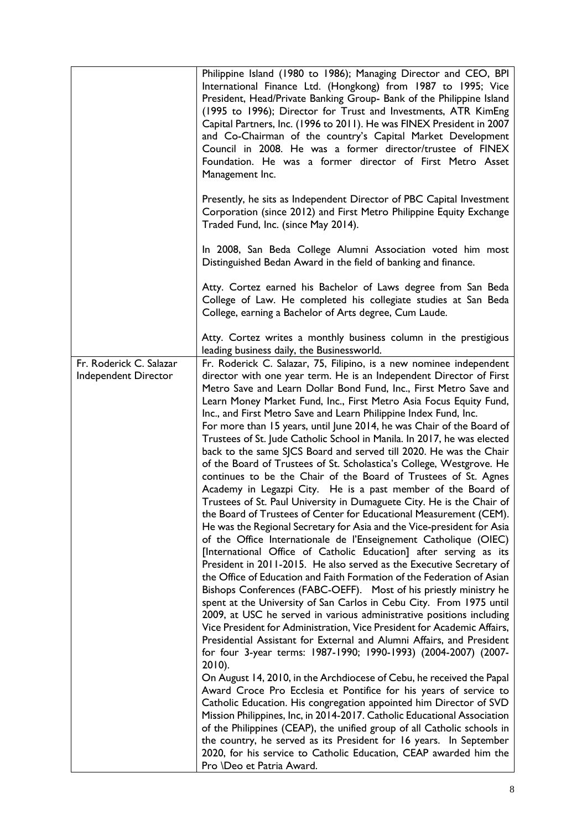|                                                 | Philippine Island (1980 to 1986); Managing Director and CEO, BPI<br>International Finance Ltd. (Hongkong) from 1987 to 1995; Vice<br>President, Head/Private Banking Group- Bank of the Philippine Island<br>(1995 to 1996); Director for Trust and Investments, ATR KimEng<br>Capital Partners, Inc. (1996 to 2011). He was FINEX President in 2007<br>and Co-Chairman of the country's Capital Market Development<br>Council in 2008. He was a former director/trustee of FINEX<br>Foundation. He was a former director of First Metro Asset<br>Management Inc.<br>Presently, he sits as Independent Director of PBC Capital Investment                                                                                                                                                                                                                                                                                                                                                                                                                                                                                                                                                                                                                                                                                                                                                                                                                                                                                                                                                                                                                                                                                                                                                                                                                                                                                                                                                                                                                                                                                                                                                                                                                                                                                            |
|-------------------------------------------------|--------------------------------------------------------------------------------------------------------------------------------------------------------------------------------------------------------------------------------------------------------------------------------------------------------------------------------------------------------------------------------------------------------------------------------------------------------------------------------------------------------------------------------------------------------------------------------------------------------------------------------------------------------------------------------------------------------------------------------------------------------------------------------------------------------------------------------------------------------------------------------------------------------------------------------------------------------------------------------------------------------------------------------------------------------------------------------------------------------------------------------------------------------------------------------------------------------------------------------------------------------------------------------------------------------------------------------------------------------------------------------------------------------------------------------------------------------------------------------------------------------------------------------------------------------------------------------------------------------------------------------------------------------------------------------------------------------------------------------------------------------------------------------------------------------------------------------------------------------------------------------------------------------------------------------------------------------------------------------------------------------------------------------------------------------------------------------------------------------------------------------------------------------------------------------------------------------------------------------------------------------------------------------------------------------------------------------------|
|                                                 | Corporation (since 2012) and First Metro Philippine Equity Exchange<br>Traded Fund, Inc. (since May 2014).<br>In 2008, San Beda College Alumni Association voted him most<br>Distinguished Bedan Award in the field of banking and finance.                                                                                                                                                                                                                                                                                                                                                                                                                                                                                                                                                                                                                                                                                                                                                                                                                                                                                                                                                                                                                                                                                                                                                                                                                                                                                                                                                                                                                                                                                                                                                                                                                                                                                                                                                                                                                                                                                                                                                                                                                                                                                          |
|                                                 | Atty. Cortez earned his Bachelor of Laws degree from San Beda<br>College of Law. He completed his collegiate studies at San Beda<br>College, earning a Bachelor of Arts degree, Cum Laude.                                                                                                                                                                                                                                                                                                                                                                                                                                                                                                                                                                                                                                                                                                                                                                                                                                                                                                                                                                                                                                                                                                                                                                                                                                                                                                                                                                                                                                                                                                                                                                                                                                                                                                                                                                                                                                                                                                                                                                                                                                                                                                                                           |
|                                                 | Atty. Cortez writes a monthly business column in the prestigious<br>leading business daily, the Businessworld.                                                                                                                                                                                                                                                                                                                                                                                                                                                                                                                                                                                                                                                                                                                                                                                                                                                                                                                                                                                                                                                                                                                                                                                                                                                                                                                                                                                                                                                                                                                                                                                                                                                                                                                                                                                                                                                                                                                                                                                                                                                                                                                                                                                                                       |
| Fr. Roderick C. Salazar<br>Independent Director | Fr. Roderick C. Salazar, 75, Filipino, is a new nominee independent<br>director with one year term. He is an Independent Director of First<br>Metro Save and Learn Dollar Bond Fund, Inc., First Metro Save and<br>Learn Money Market Fund, Inc., First Metro Asia Focus Equity Fund,<br>Inc., and First Metro Save and Learn Philippine Index Fund, Inc.<br>For more than 15 years, until June 2014, he was Chair of the Board of<br>Trustees of St. Jude Catholic School in Manila. In 2017, he was elected<br>back to the same SJCS Board and served till 2020. He was the Chair<br>of the Board of Trustees of St. Scholastica's College, Westgrove. He<br>continues to be the Chair of the Board of Trustees of St. Agnes<br>Academy in Legazpi City. He is a past member of the Board of<br>Trustees of St. Paul University in Dumaguete City. He is the Chair of<br>the Board of Trustees of Center for Educational Measurement (CEM).<br>He was the Regional Secretary for Asia and the Vice-president for Asia<br>of the Office Internationale de l'Enseignement Catholique (OIEC)<br>[International Office of Catholic Education] after serving as its<br>President in 2011-2015. He also served as the Executive Secretary of<br>the Office of Education and Faith Formation of the Federation of Asian<br>Bishops Conferences (FABC-OEFF). Most of his priestly ministry he<br>spent at the University of San Carlos in Cebu City. From 1975 until<br>2009, at USC he served in various administrative positions including<br>Vice President for Administration, Vice President for Academic Affairs,<br>Presidential Assistant for External and Alumni Affairs, and President<br>for four 3-year terms: 1987-1990; 1990-1993) (2004-2007) (2007-<br>$2010$ ).<br>On August 14, 2010, in the Archdiocese of Cebu, he received the Papal<br>Award Croce Pro Ecclesia et Pontifice for his years of service to<br>Catholic Education. His congregation appointed him Director of SVD<br>Mission Philippines, Inc, in 2014-2017. Catholic Educational Association<br>of the Philippines (CEAP), the unified group of all Catholic schools in<br>the country, he served as its President for 16 years. In September<br>2020, for his service to Catholic Education, CEAP awarded him the<br>Pro <i>\Deo</i> et Patria Award. |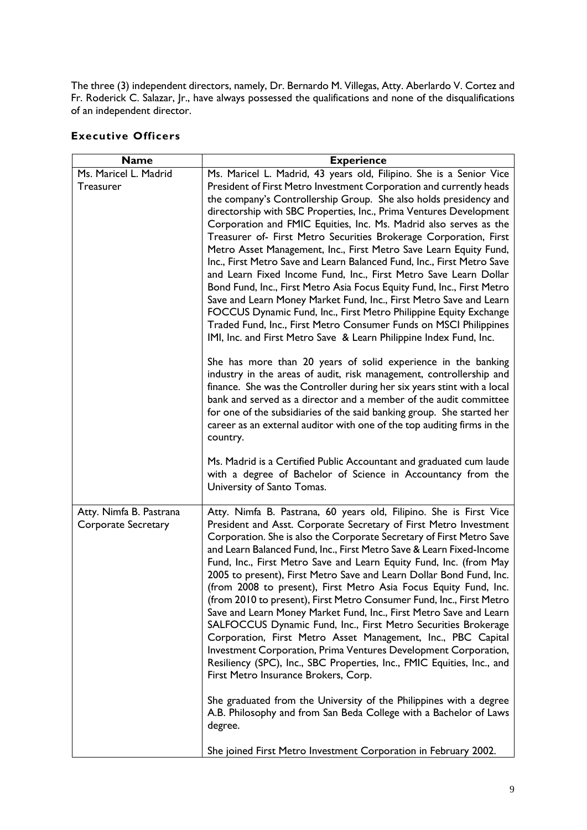The three (3) independent directors, namely, Dr. Bernardo M. Villegas, Atty. Aberlardo V. Cortez and Fr. Roderick C. Salazar, Jr., have always possessed the qualifications and none of the disqualifications of an independent director.

| <b>Name</b>                | <b>Experience</b>                                                                                                                            |
|----------------------------|----------------------------------------------------------------------------------------------------------------------------------------------|
| Ms. Maricel L. Madrid      | Ms. Maricel L. Madrid, 43 years old, Filipino. She is a Senior Vice                                                                          |
| <b>Treasurer</b>           | President of First Metro Investment Corporation and currently heads<br>the company's Controllership Group. She also holds presidency and     |
|                            | directorship with SBC Properties, Inc., Prima Ventures Development                                                                           |
|                            | Corporation and FMIC Equities, Inc. Ms. Madrid also serves as the                                                                            |
|                            | Treasurer of- First Metro Securities Brokerage Corporation, First                                                                            |
|                            | Metro Asset Management, Inc., First Metro Save Learn Equity Fund,                                                                            |
|                            | Inc., First Metro Save and Learn Balanced Fund, Inc., First Metro Save                                                                       |
|                            | and Learn Fixed Income Fund, Inc., First Metro Save Learn Dollar<br>Bond Fund, Inc., First Metro Asia Focus Equity Fund, Inc., First Metro   |
|                            | Save and Learn Money Market Fund, Inc., First Metro Save and Learn                                                                           |
|                            | FOCCUS Dynamic Fund, Inc., First Metro Philippine Equity Exchange                                                                            |
|                            | Traded Fund, Inc., First Metro Consumer Funds on MSCI Philippines                                                                            |
|                            | IMI, Inc. and First Metro Save & Learn Philippine Index Fund, Inc.                                                                           |
|                            | She has more than 20 years of solid experience in the banking<br>industry in the areas of audit, risk management, controllership and         |
|                            | finance. She was the Controller during her six years stint with a local<br>bank and served as a director and a member of the audit committee |
|                            | for one of the subsidiaries of the said banking group. She started her                                                                       |
|                            | career as an external auditor with one of the top auditing firms in the<br>country.                                                          |
|                            | Ms. Madrid is a Certified Public Accountant and graduated cum laude                                                                          |
|                            | with a degree of Bachelor of Science in Accountancy from the<br>University of Santo Tomas.                                                   |
| Atty. Nimfa B. Pastrana    | Atty. Nimfa B. Pastrana, 60 years old, Filipino. She is First Vice                                                                           |
| <b>Corporate Secretary</b> | President and Asst. Corporate Secretary of First Metro Investment                                                                            |
|                            | Corporation. She is also the Corporate Secretary of First Metro Save<br>and Learn Balanced Fund, Inc., First Metro Save & Learn Fixed-Income |
|                            | Fund, Inc., First Metro Save and Learn Equity Fund, Inc. (from May                                                                           |
|                            | 2005 to present), First Metro Save and Learn Dollar Bond Fund, Inc.                                                                          |
|                            | (from 2008 to present), First Metro Asia Focus Equity Fund, Inc.                                                                             |
|                            | (from 2010 to present), First Metro Consumer Fund, Inc., First Metro<br>Save and Learn Money Market Fund, Inc., First Metro Save and Learn   |
|                            | SALFOCCUS Dynamic Fund, Inc., First Metro Securities Brokerage                                                                               |
|                            | Corporation, First Metro Asset Management, Inc., PBC Capital                                                                                 |
|                            | Investment Corporation, Prima Ventures Development Corporation,                                                                              |
|                            | Resiliency (SPC), Inc., SBC Properties, Inc., FMIC Equities, Inc., and<br>First Metro Insurance Brokers, Corp.                               |
|                            | She graduated from the University of the Philippines with a degree                                                                           |
|                            | A.B. Philosophy and from San Beda College with a Bachelor of Laws<br>degree.                                                                 |
|                            | She joined First Metro Investment Corporation in February 2002.                                                                              |

# **Executive Officers**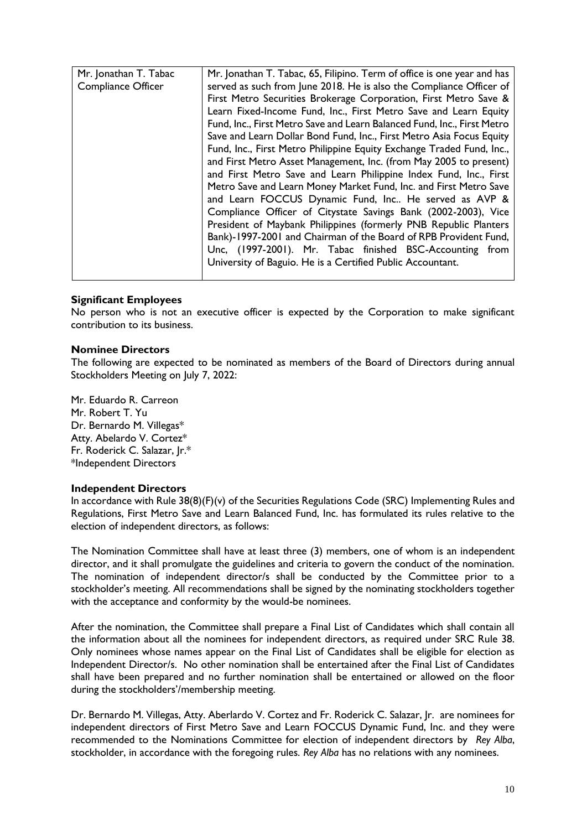| Mr. Jonathan T. Tabac | Mr. Jonathan T. Tabac, 65, Filipino. Term of office is one year and has |
|-----------------------|-------------------------------------------------------------------------|
| Compliance Officer    | served as such from June 2018. He is also the Compliance Officer of     |
|                       | First Metro Securities Brokerage Corporation, First Metro Save &        |
|                       | Learn Fixed-Income Fund, Inc., First Metro Save and Learn Equity        |
|                       | Fund, Inc., First Metro Save and Learn Balanced Fund, Inc., First Metro |
|                       | Save and Learn Dollar Bond Fund, Inc., First Metro Asia Focus Equity    |
|                       | Fund, Inc., First Metro Philippine Equity Exchange Traded Fund, Inc.,   |
|                       | and First Metro Asset Management, Inc. (from May 2005 to present)       |
|                       | and First Metro Save and Learn Philippine Index Fund, Inc., First       |
|                       | Metro Save and Learn Money Market Fund, Inc. and First Metro Save       |
|                       | and Learn FOCCUS Dynamic Fund, Inc He served as AVP &                   |
|                       | Compliance Officer of Citystate Savings Bank (2002-2003), Vice          |
|                       | President of Maybank Philippines (formerly PNB Republic Planters        |
|                       | Bank)-1997-2001 and Chairman of the Board of RPB Provident Fund,        |
|                       | Unc, (1997-2001). Mr. Tabac finished BSC-Accounting from                |
|                       | University of Baguio. He is a Certified Public Accountant.              |
|                       |                                                                         |

## **Significant Employees**

No person who is not an executive officer is expected by the Corporation to make significant contribution to its business.

#### **Nominee Directors**

The following are expected to be nominated as members of the Board of Directors during annual Stockholders Meeting on July 7, 2022:

Mr. Eduardo R. Carreon Mr. Robert T. Yu Dr. Bernardo M. Villegas\* Atty. Abelardo V. Cortez\* Fr. Roderick C. Salazar, Jr.\* \*Independent Directors

#### **Independent Directors**

In accordance with Rule 38(8)(F)(v) of the Securities Regulations Code (SRC) Implementing Rules and Regulations, First Metro Save and Learn Balanced Fund, Inc. has formulated its rules relative to the election of independent directors, as follows:

The Nomination Committee shall have at least three (3) members, one of whom is an independent director, and it shall promulgate the guidelines and criteria to govern the conduct of the nomination. The nomination of independent director/s shall be conducted by the Committee prior to a stockholder's meeting. All recommendations shall be signed by the nominating stockholders together with the acceptance and conformity by the would-be nominees.

After the nomination, the Committee shall prepare a Final List of Candidates which shall contain all the information about all the nominees for independent directors, as required under SRC Rule 38. Only nominees whose names appear on the Final List of Candidates shall be eligible for election as Independent Director/s. No other nomination shall be entertained after the Final List of Candidates shall have been prepared and no further nomination shall be entertained or allowed on the floor during the stockholders'/membership meeting.

Dr. Bernardo M. Villegas, Atty. Aberlardo V. Cortez and Fr. Roderick C. Salazar, Jr. are nominees for independent directors of First Metro Save and Learn FOCCUS Dynamic Fund, Inc. and they were recommended to the Nominations Committee for election of independent directors by *Rey Alba*, stockholder, in accordance with the foregoing rules. *Rey Alba* has no relations with any nominees.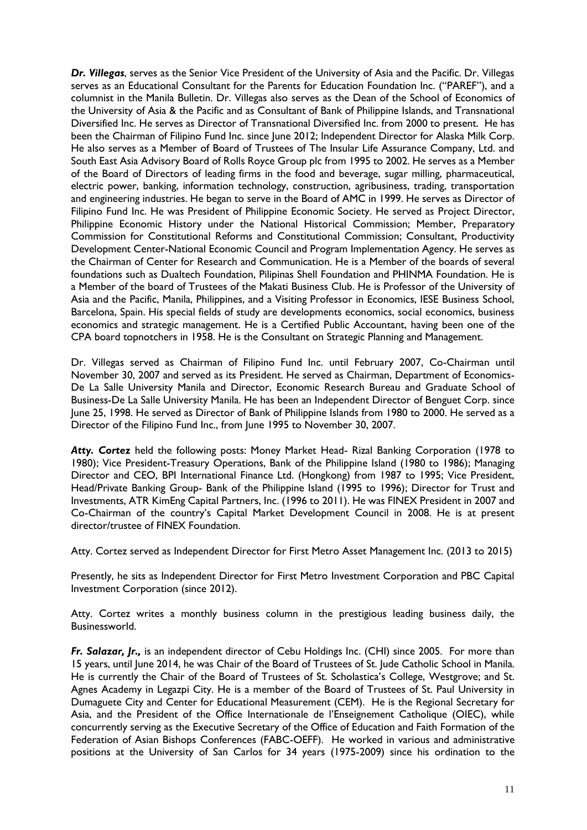*Dr. Villegas*, serves as the Senior Vice President of the University of Asia and the Pacific. Dr. Villegas serves as an Educational Consultant for the Parents for Education Foundation Inc. ("PAREF"), and a columnist in the Manila Bulletin. Dr. Villegas also serves as the Dean of the School of Economics of the University of Asia & the Pacific and as Consultant of Bank of Philippine Islands, and Transnational Diversified Inc. He serves as Director of Transnational Diversified Inc. from 2000 to present. He has been the Chairman of Filipino Fund Inc. since June 2012; Independent Director for Alaska Milk Corp. He also serves as a Member of Board of Trustees of The Insular Life Assurance Company, Ltd. and South East Asia Advisory Board of Rolls Royce Group plc from 1995 to 2002. He serves as a Member of the Board of Directors of leading firms in the food and beverage, sugar milling, pharmaceutical, electric power, banking, information technology, construction, agribusiness, trading, transportation and engineering industries. He began to serve in the Board of AMC in 1999. He serves as Director of Filipino Fund Inc. He was President of Philippine Economic Society. He served as Project Director, Philippine Economic History under the National Historical Commission; Member, Preparatory Commission for Constitutional Reforms and Constitutional Commission; Consultant, Productivity Development Center-National Economic Council and Program Implementation Agency. He serves as the Chairman of Center for Research and Communication. He is a Member of the boards of several foundations such as Dualtech Foundation, Pilipinas Shell Foundation and PHINMA Foundation. He is a Member of the board of Trustees of the Makati Business Club. He is Professor of the University of Asia and the Pacific, Manila, Philippines, and a Visiting Professor in Economics, IESE Business School, Barcelona, Spain. His special fields of study are developments economics, social economics, business economics and strategic management. He is a Certified Public Accountant, having been one of the CPA board topnotchers in 1958. He is the Consultant on Strategic Planning and Management.

Dr. Villegas served as Chairman of Filipino Fund Inc. until February 2007, Co-Chairman until November 30, 2007 and served as its President. He served as Chairman, Department of Economics-De La Salle University Manila and Director, Economic Research Bureau and Graduate School of Business-De La Salle University Manila. He has been an Independent Director of Benguet Corp. since June 25, 1998. He served as Director of Bank of Philippine Islands from 1980 to 2000. He served as a Director of the Filipino Fund Inc., from June 1995 to November 30, 2007.

*Atty. Cortez* held the following posts: Money Market Head- Rizal Banking Corporation (1978 to 1980); Vice President-Treasury Operations, Bank of the Philippine Island (1980 to 1986); Managing Director and CEO, BPI International Finance Ltd. (Hongkong) from 1987 to 1995; Vice President, Head/Private Banking Group- Bank of the Philippine Island (1995 to 1996); Director for Trust and Investments, ATR KimEng Capital Partners, Inc. (1996 to 2011). He was FINEX President in 2007 and Co-Chairman of the country's Capital Market Development Council in 2008. He is at present director/trustee of FINEX Foundation.

Atty. Cortez served as Independent Director for First Metro Asset Management Inc. (2013 to 2015)

Presently, he sits as Independent Director for First Metro Investment Corporation and PBC Capital Investment Corporation (since 2012).

Atty. Cortez writes a monthly business column in the prestigious leading business daily, the Businessworld.

*Fr. Salazar, Jr.,* is an independent director of Cebu Holdings Inc. (CHI) since 2005. For more than 15 years, until June 2014, he was Chair of the Board of Trustees of St. Jude Catholic School in Manila. He is currently the Chair of the Board of Trustees of St. Scholastica's College, Westgrove; and St. Agnes Academy in Legazpi City. He is a member of the Board of Trustees of St. Paul University in Dumaguete City and Center for Educational Measurement (CEM). He is the Regional Secretary for Asia, and the President of the Office Internationale de l'Enseignement Catholique (OIEC), while concurrently serving as the Executive Secretary of the Office of Education and Faith Formation of the Federation of Asian Bishops Conferences (FABC-OEFF). He worked in various and administrative positions at the University of San Carlos for 34 years (1975-2009) since his ordination to the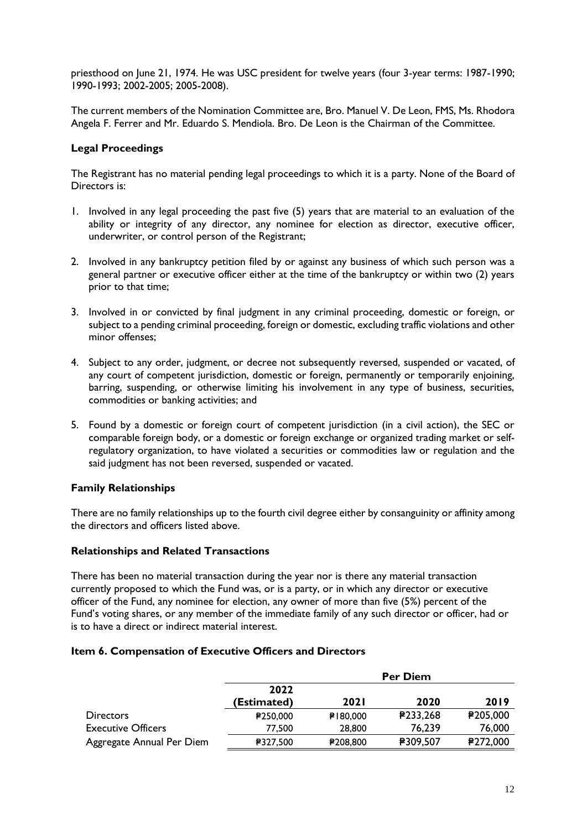priesthood on June 21, 1974. He was USC president for twelve years (four 3-year terms: 1987-1990; 1990-1993; 2002-2005; 2005-2008).

The current members of the Nomination Committee are, Bro. Manuel V. De Leon, FMS, Ms. Rhodora Angela F. Ferrer and Mr. Eduardo S. Mendiola. Bro. De Leon is the Chairman of the Committee.

# **Legal Proceedings**

The Registrant has no material pending legal proceedings to which it is a party. None of the Board of Directors is:

- 1. Involved in any legal proceeding the past five (5) years that are material to an evaluation of the ability or integrity of any director, any nominee for election as director, executive officer, underwriter, or control person of the Registrant;
- 2. Involved in any bankruptcy petition filed by or against any business of which such person was a general partner or executive officer either at the time of the bankruptcy or within two (2) years prior to that time;
- 3. Involved in or convicted by final judgment in any criminal proceeding, domestic or foreign, or subject to a pending criminal proceeding, foreign or domestic, excluding traffic violations and other minor offenses;
- 4. Subject to any order, judgment, or decree not subsequently reversed, suspended or vacated, of any court of competent jurisdiction, domestic or foreign, permanently or temporarily enjoining, barring, suspending, or otherwise limiting his involvement in any type of business, securities, commodities or banking activities; and
- 5. Found by a domestic or foreign court of competent jurisdiction (in a civil action), the SEC or comparable foreign body, or a domestic or foreign exchange or organized trading market or selfregulatory organization, to have violated a securities or commodities law or regulation and the said judgment has not been reversed, suspended or vacated.

### **Family Relationships**

There are no family relationships up to the fourth civil degree either by consanguinity or affinity among the directors and officers listed above.

### **Relationships and Related Transactions**

There has been no material transaction during the year nor is there any material transaction currently proposed to which the Fund was, or is a party, or in which any director or executive officer of the Fund, any nominee for election, any owner of more than five (5%) percent of the Fund's voting shares, or any member of the immediate family of any such director or officer, had or is to have a direct or indirect material interest.

### **Item 6. Compensation of Executive Officers and Directors**

|                           | <b>Per Diem</b>     |             |          |                 |
|---------------------------|---------------------|-------------|----------|-----------------|
|                           | 2022<br>(Estimated) | <b>2021</b> | 2020     | 2019            |
| <b>Directors</b>          | ₽250,000            | ₽180,000    | P233,268 | <b>₽205,000</b> |
| <b>Executive Officers</b> | 77,500              | 28,800      | 76,239   | 76,000          |
| Aggregate Annual Per Diem | ₽327,500            | ₽208,800    | ₽309,507 | ₽272,000        |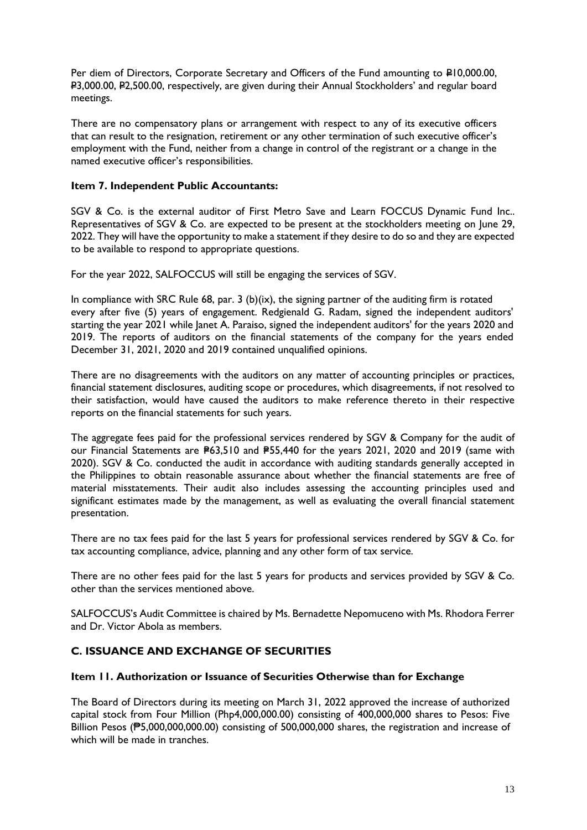Per diem of Directors, Corporate Secretary and Officers of the Fund amounting to P10,000.00, P3,000.00, P2,500.00, respectively, are given during their Annual Stockholders' and regular board meetings.

There are no compensatory plans or arrangement with respect to any of its executive officers that can result to the resignation, retirement or any other termination of such executive officer's employment with the Fund, neither from a change in control of the registrant or a change in the named executive officer's responsibilities.

# **Item 7. Independent Public Accountants:**

SGV & Co. is the external auditor of First Metro Save and Learn FOCCUS Dynamic Fund Inc.. Representatives of SGV & Co. are expected to be present at the stockholders meeting on June 29, 2022. They will have the opportunity to make a statement if they desire to do so and they are expected to be available to respond to appropriate questions.

For the year 2022, SALFOCCUS will still be engaging the services of SGV.

In compliance with SRC Rule 68, par. 3 (b)(ix), the signing partner of the auditing firm is rotated every after five (5) years of engagement. Redgienald G. Radam, signed the independent auditors' starting the year 2021 while Janet A. Paraiso, signed the independent auditors' for the years 2020 and 2019. The reports of auditors on the financial statements of the company for the years ended December 31, 2021, 2020 and 2019 contained unqualified opinions.

There are no disagreements with the auditors on any matter of accounting principles or practices, financial statement disclosures, auditing scope or procedures, which disagreements, if not resolved to their satisfaction, would have caused the auditors to make reference thereto in their respective reports on the financial statements for such years.

The aggregate fees paid for the professional services rendered by SGV & Company for the audit of our Financial Statements are  $P63.510$  and  $P55.440$  for the years 2021, 2020 and 2019 (same with 2020). SGV & Co. conducted the audit in accordance with auditing standards generally accepted in the Philippines to obtain reasonable assurance about whether the financial statements are free of material misstatements. Their audit also includes assessing the accounting principles used and significant estimates made by the management, as well as evaluating the overall financial statement presentation.

There are no tax fees paid for the last 5 years for professional services rendered by SGV & Co. for tax accounting compliance, advice, planning and any other form of tax service.

There are no other fees paid for the last 5 years for products and services provided by SGV & Co. other than the services mentioned above.

SALFOCCUS's Audit Committee is chaired by Ms. Bernadette Nepomuceno with Ms. Rhodora Ferrer and Dr. Victor Abola as members.

# **C. ISSUANCE AND EXCHANGE OF SECURITIES**

### **Item 11. Authorization or Issuance of Securities Otherwise than for Exchange**

The Board of Directors during its meeting on March 31, 2022 approved the increase of authorized capital stock from Four Million (Php4,000,000.00) consisting of 400,000,000 shares to Pesos: Five Billion Pesos (₱5,000,000,000.00) consisting of 500,000,000 shares, the registration and increase of which will be made in tranches.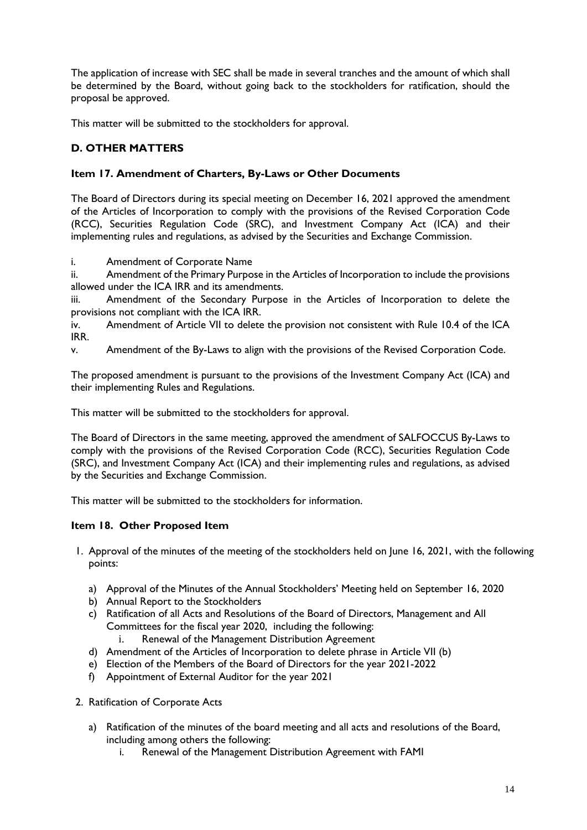The application of increase with SEC shall be made in several tranches and the amount of which shall be determined by the Board, without going back to the stockholders for ratification, should the proposal be approved.

This matter will be submitted to the stockholders for approval.

# **D. OTHER MATTERS**

# **Item 17. Amendment of Charters, By-Laws or Other Documents**

The Board of Directors during its special meeting on December 16, 2021 approved the amendment of the Articles of Incorporation to comply with the provisions of the Revised Corporation Code (RCC), Securities Regulation Code (SRC), and Investment Company Act (ICA) and their implementing rules and regulations, as advised by the Securities and Exchange Commission.

i. Amendment of Corporate Name

ii. Amendment of the Primary Purpose in the Articles of Incorporation to include the provisions allowed under the ICA IRR and its amendments.

iii. Amendment of the Secondary Purpose in the Articles of Incorporation to delete the provisions not compliant with the ICA IRR.

iv. Amendment of Article VII to delete the provision not consistent with Rule 10.4 of the ICA IRR.

v. Amendment of the By-Laws to align with the provisions of the Revised Corporation Code.

The proposed amendment is pursuant to the provisions of the Investment Company Act (ICA) and their implementing Rules and Regulations.

This matter will be submitted to the stockholders for approval.

The Board of Directors in the same meeting, approved the amendment of SALFOCCUS By-Laws to comply with the provisions of the Revised Corporation Code (RCC), Securities Regulation Code (SRC), and Investment Company Act (ICA) and their implementing rules and regulations, as advised by the Securities and Exchange Commission.

This matter will be submitted to the stockholders for information.

# **Item 18. Other Proposed Item**

- 1. Approval of the minutes of the meeting of the stockholders held on June 16, 2021, with the following points:
	- a) Approval of the Minutes of the Annual Stockholders' Meeting held on September 16, 2020
	- b) Annual Report to the Stockholders
	- c) Ratification of all Acts and Resolutions of the Board of Directors, Management and All Committees for the fiscal year 2020, including the following:
		- i. Renewal of the Management Distribution Agreement
	- d) Amendment of the Articles of Incorporation to delete phrase in Article VII (b)
	- e) Election of the Members of the Board of Directors for the year 2021-2022
	- f) Appointment of External Auditor for the year 2021
- 2. Ratification of Corporate Acts
	- a) Ratification of the minutes of the board meeting and all acts and resolutions of the Board, including among others the following:
		- i. Renewal of the Management Distribution Agreement with FAMI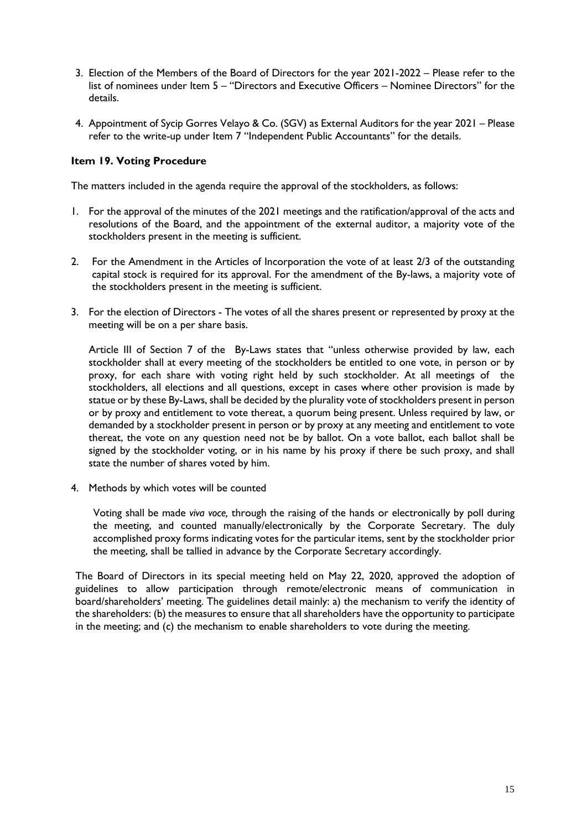- 3. Election of the Members of the Board of Directors for the year 2021-2022 Please refer to the list of nominees under Item 5 – "Directors and Executive Officers – Nominee Directors" for the details.
- 4. Appointment of Sycip Gorres Velayo & Co. (SGV) as External Auditors for the year 2021 Please refer to the write-up under Item 7 "Independent Public Accountants" for the details.

# **Item 19. Voting Procedure**

The matters included in the agenda require the approval of the stockholders, as follows:

- 1. For the approval of the minutes of the 2021 meetings and the ratification/approval of the acts and resolutions of the Board, and the appointment of the external auditor, a majority vote of the stockholders present in the meeting is sufficient.
- 2. For the Amendment in the Articles of Incorporation the vote of at least 2/3 of the outstanding capital stock is required for its approval. For the amendment of the By-laws, a majority vote of the stockholders present in the meeting is sufficient.
- 3. For the election of Directors The votes of all the shares present or represented by proxy at the meeting will be on a per share basis.

Article III of Section 7 of the By-Laws states that "unless otherwise provided by law, each stockholder shall at every meeting of the stockholders be entitled to one vote, in person or by proxy, for each share with voting right held by such stockholder. At all meetings of the stockholders, all elections and all questions, except in cases where other provision is made by statue or by these By-Laws, shall be decided by the plurality vote of stockholders present in person or by proxy and entitlement to vote thereat, a quorum being present. Unless required by law, or demanded by a stockholder present in person or by proxy at any meeting and entitlement to vote thereat, the vote on any question need not be by ballot. On a vote ballot, each ballot shall be signed by the stockholder voting, or in his name by his proxy if there be such proxy, and shall state the number of shares voted by him.

4. Methods by which votes will be counted

Voting shall be made *viva voce,* through the raising of the hands or electronically by poll during the meeting, and counted manually/electronically by the Corporate Secretary. The duly accomplished proxy forms indicating votes for the particular items, sent by the stockholder prior the meeting, shall be tallied in advance by the Corporate Secretary accordingly.

The Board of Directors in its special meeting held on May 22, 2020, approved the adoption of guidelines to allow participation through remote/electronic means of communication in board/shareholders' meeting. The guidelines detail mainly: a) the mechanism to verify the identity of the shareholders: (b) the measures to ensure that all shareholders have the opportunity to participate in the meeting; and (c) the mechanism to enable shareholders to vote during the meeting.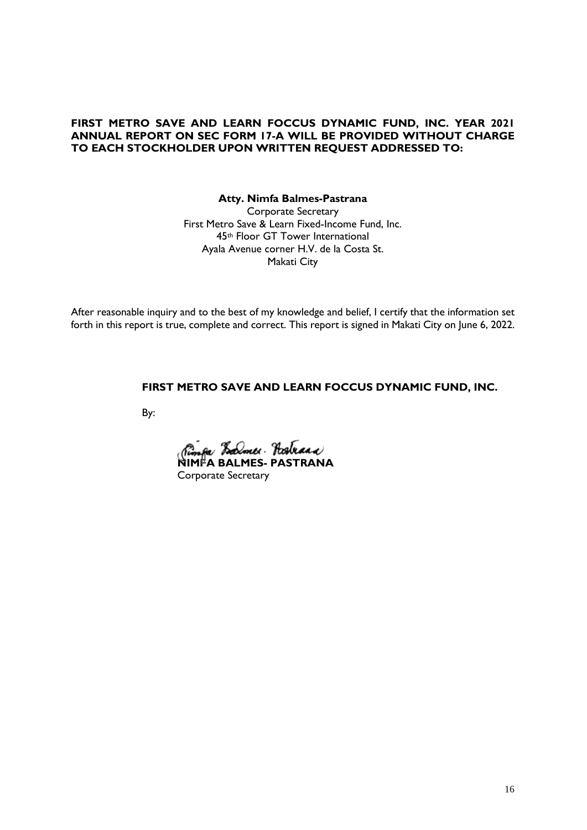# **FIRST METRO SAVE AND LEARN FOCCUS DYNAMIC FUND, INC. YEAR 2021 ANNUAL REPORT ON SEC FORM 17-A WILL BE PROVIDED WITHOUT CHARGE TO EACH STOCKHOLDER UPON WRITTEN REQUEST ADDRESSED TO:**

**Atty. Nimfa Balmes-Pastrana** Corporate Secretary First Metro Save & Learn Fixed-Income Fund, Inc. 45th Floor GT Tower International Ayala Avenue corner H.V. de la Costa St. Makati City

After reasonable inquiry and to the best of my knowledge and belief, I certify that the information set forth in this report is true, complete and correct. This report is signed in Makati City on June 6, 2022.

### **FIRST METRO SAVE AND LEARN FOCCUS DYNAMIC FUND, INC.**

By:

**NIMFA BALMES- PASTRANA**  Corporate Secretary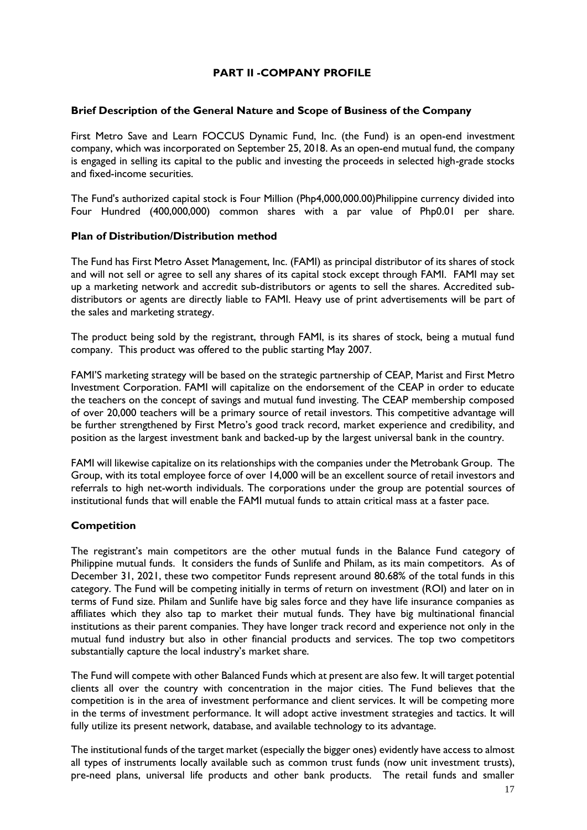# **PART II -COMPANY PROFILE**

### **Brief Description of the General Nature and Scope of Business of the Company**

First Metro Save and Learn FOCCUS Dynamic Fund, Inc. (the Fund) is an open-end investment company, which was incorporated on September 25, 2018. As an open-end mutual fund, the company is engaged in selling its capital to the public and investing the proceeds in selected high-grade stocks and fixed-income securities.

The Fund's authorized capital stock is Four Million (Php4,000,000.00)Philippine currency divided into Four Hundred (400,000,000) common shares with a par value of Php0.01 per share.

### **Plan of Distribution/Distribution method**

The Fund has First Metro Asset Management, Inc. (FAMI) as principal distributor of its shares of stock and will not sell or agree to sell any shares of its capital stock except through FAMI. FAMI may set up a marketing network and accredit sub-distributors or agents to sell the shares. Accredited subdistributors or agents are directly liable to FAMI. Heavy use of print advertisements will be part of the sales and marketing strategy.

The product being sold by the registrant, through FAMI, is its shares of stock, being a mutual fund company. This product was offered to the public starting May 2007.

FAMI'S marketing strategy will be based on the strategic partnership of CEAP, Marist and First Metro Investment Corporation. FAMI will capitalize on the endorsement of the CEAP in order to educate the teachers on the concept of savings and mutual fund investing. The CEAP membership composed of over 20,000 teachers will be a primary source of retail investors. This competitive advantage will be further strengthened by First Metro's good track record, market experience and credibility, and position as the largest investment bank and backed-up by the largest universal bank in the country.

FAMI will likewise capitalize on its relationships with the companies under the Metrobank Group. The Group, with its total employee force of over 14,000 will be an excellent source of retail investors and referrals to high net-worth individuals. The corporations under the group are potential sources of institutional funds that will enable the FAMI mutual funds to attain critical mass at a faster pace.

### **Competition**

The registrant's main competitors are the other mutual funds in the Balance Fund category of Philippine mutual funds. It considers the funds of Sunlife and Philam, as its main competitors. As of December 31, 2021, these two competitor Funds represent around 80.68% of the total funds in this category. The Fund will be competing initially in terms of return on investment (ROI) and later on in terms of Fund size. Philam and Sunlife have big sales force and they have life insurance companies as affiliates which they also tap to market their mutual funds. They have big multinational financial institutions as their parent companies. They have longer track record and experience not only in the mutual fund industry but also in other financial products and services. The top two competitors substantially capture the local industry's market share.

The Fund will compete with other Balanced Funds which at present are also few. It will target potential clients all over the country with concentration in the major cities. The Fund believes that the competition is in the area of investment performance and client services. It will be competing more in the terms of investment performance. It will adopt active investment strategies and tactics. It will fully utilize its present network, database, and available technology to its advantage.

The institutional funds of the target market (especially the bigger ones) evidently have access to almost all types of instruments locally available such as common trust funds (now unit investment trusts), pre-need plans, universal life products and other bank products. The retail funds and smaller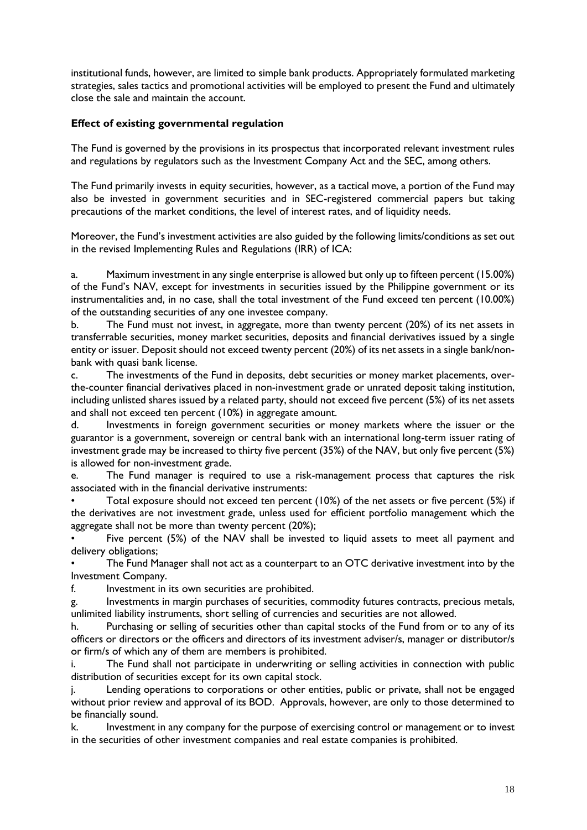institutional funds, however, are limited to simple bank products. Appropriately formulated marketing strategies, sales tactics and promotional activities will be employed to present the Fund and ultimately close the sale and maintain the account.

# **Effect of existing governmental regulation**

The Fund is governed by the provisions in its prospectus that incorporated relevant investment rules and regulations by regulators such as the Investment Company Act and the SEC, among others.

The Fund primarily invests in equity securities, however, as a tactical move, a portion of the Fund may also be invested in government securities and in SEC-registered commercial papers but taking precautions of the market conditions, the level of interest rates, and of liquidity needs.

Moreover, the Fund's investment activities are also guided by the following limits/conditions as set out in the revised Implementing Rules and Regulations (IRR) of ICA:

a. Maximum investment in any single enterprise is allowed but only up to fifteen percent (15.00%) of the Fund's NAV, except for investments in securities issued by the Philippine government or its instrumentalities and, in no case, shall the total investment of the Fund exceed ten percent (10.00%) of the outstanding securities of any one investee company.

b. The Fund must not invest, in aggregate, more than twenty percent (20%) of its net assets in transferrable securities, money market securities, deposits and financial derivatives issued by a single entity or issuer. Deposit should not exceed twenty percent (20%) of its net assets in a single bank/nonbank with quasi bank license.

c. The investments of the Fund in deposits, debt securities or money market placements, overthe-counter financial derivatives placed in non-investment grade or unrated deposit taking institution, including unlisted shares issued by a related party, should not exceed five percent (5%) of its net assets and shall not exceed ten percent (10%) in aggregate amount.

d. Investments in foreign government securities or money markets where the issuer or the guarantor is a government, sovereign or central bank with an international long-term issuer rating of investment grade may be increased to thirty five percent (35%) of the NAV, but only five percent (5%) is allowed for non-investment grade.

e. The Fund manager is required to use a risk-management process that captures the risk associated with in the financial derivative instruments:

• Total exposure should not exceed ten percent (10%) of the net assets or five percent (5%) if the derivatives are not investment grade, unless used for efficient portfolio management which the aggregate shall not be more than twenty percent (20%);

Five percent (5%) of the NAV shall be invested to liquid assets to meet all payment and delivery obligations;

The Fund Manager shall not act as a counterpart to an OTC derivative investment into by the Investment Company.

f. Investment in its own securities are prohibited.

g. Investments in margin purchases of securities, commodity futures contracts, precious metals, unlimited liability instruments, short selling of currencies and securities are not allowed.

h. Purchasing or selling of securities other than capital stocks of the Fund from or to any of its officers or directors or the officers and directors of its investment adviser/s, manager or distributor/s or firm/s of which any of them are members is prohibited.

i. The Fund shall not participate in underwriting or selling activities in connection with public distribution of securities except for its own capital stock.

j. Lending operations to corporations or other entities, public or private, shall not be engaged without prior review and approval of its BOD. Approvals, however, are only to those determined to be financially sound.

k. Investment in any company for the purpose of exercising control or management or to invest in the securities of other investment companies and real estate companies is prohibited.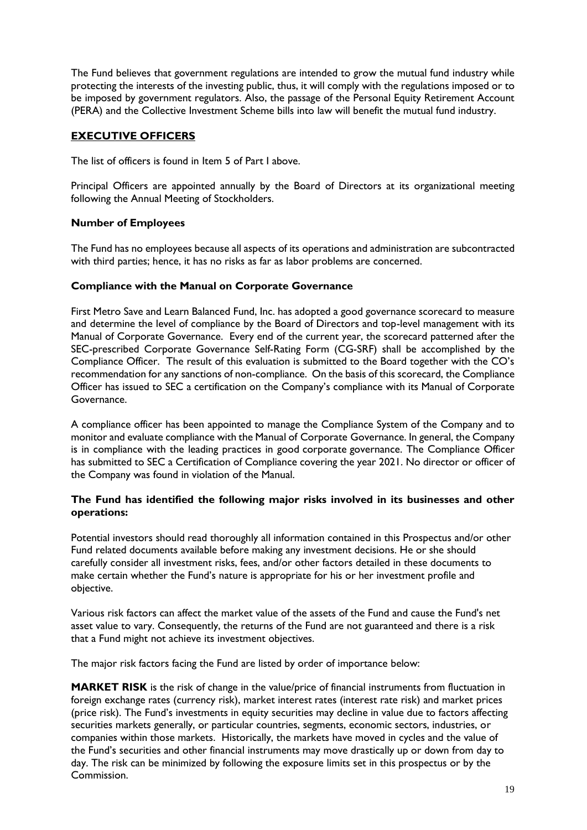The Fund believes that government regulations are intended to grow the mutual fund industry while protecting the interests of the investing public, thus, it will comply with the regulations imposed or to be imposed by government regulators. Also, the passage of the Personal Equity Retirement Account (PERA) and the Collective Investment Scheme bills into law will benefit the mutual fund industry.

# **EXECUTIVE OFFICERS**

The list of officers is found in Item 5 of Part I above.

Principal Officers are appointed annually by the Board of Directors at its organizational meeting following the Annual Meeting of Stockholders.

# **Number of Employees**

The Fund has no employees because all aspects of its operations and administration are subcontracted with third parties; hence, it has no risks as far as labor problems are concerned.

## **Compliance with the Manual on Corporate Governance**

First Metro Save and Learn Balanced Fund, Inc. has adopted a good governance scorecard to measure and determine the level of compliance by the Board of Directors and top-level management with its Manual of Corporate Governance. Every end of the current year, the scorecard patterned after the SEC-prescribed Corporate Governance Self-Rating Form (CG-SRF) shall be accomplished by the Compliance Officer. The result of this evaluation is submitted to the Board together with the CO's recommendation for any sanctions of non-compliance. On the basis of this scorecard, the Compliance Officer has issued to SEC a certification on the Company's compliance with its Manual of Corporate Governance.

A compliance officer has been appointed to manage the Compliance System of the Company and to monitor and evaluate compliance with the Manual of Corporate Governance. In general, the Company is in compliance with the leading practices in good corporate governance. The Compliance Officer has submitted to SEC a Certification of Compliance covering the year 2021. No director or officer of the Company was found in violation of the Manual.

## **The Fund has identified the following major risks involved in its businesses and other operations:**

Potential investors should read thoroughly all information contained in this Prospectus and/or other Fund related documents available before making any investment decisions. He or she should carefully consider all investment risks, fees, and/or other factors detailed in these documents to make certain whether the Fund's nature is appropriate for his or her investment profile and objective.

Various risk factors can affect the market value of the assets of the Fund and cause the Fund's net asset value to vary. Consequently, the returns of the Fund are not guaranteed and there is a risk that a Fund might not achieve its investment objectives.

The major risk factors facing the Fund are listed by order of importance below:

**MARKET RISK** is the risk of change in the value/price of financial instruments from fluctuation in foreign exchange rates (currency risk), market interest rates (interest rate risk) and market prices (price risk). The Fund's investments in equity securities may decline in value due to factors affecting securities markets generally, or particular countries, segments, economic sectors, industries, or companies within those markets. Historically, the markets have moved in cycles and the value of the Fund's securities and other financial instruments may move drastically up or down from day to day. The risk can be minimized by following the exposure limits set in this prospectus or by the Commission.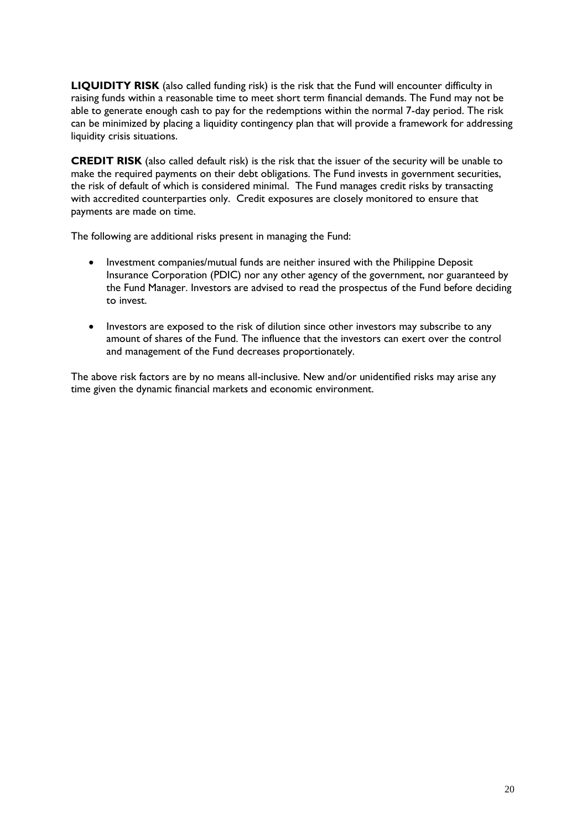**LIQUIDITY RISK** (also called funding risk) is the risk that the Fund will encounter difficulty in raising funds within a reasonable time to meet short term financial demands. The Fund may not be able to generate enough cash to pay for the redemptions within the normal 7-day period. The risk can be minimized by placing a liquidity contingency plan that will provide a framework for addressing liquidity crisis situations.

**CREDIT RISK** (also called default risk) is the risk that the issuer of the security will be unable to make the required payments on their debt obligations. The Fund invests in government securities, the risk of default of which is considered minimal. The Fund manages credit risks by transacting with accredited counterparties only. Credit exposures are closely monitored to ensure that payments are made on time.

The following are additional risks present in managing the Fund:

- Investment companies/mutual funds are neither insured with the Philippine Deposit Insurance Corporation (PDIC) nor any other agency of the government, nor guaranteed by the Fund Manager. Investors are advised to read the prospectus of the Fund before deciding to invest.
- Investors are exposed to the risk of dilution since other investors may subscribe to any amount of shares of the Fund. The influence that the investors can exert over the control and management of the Fund decreases proportionately.

The above risk factors are by no means all-inclusive. New and/or unidentified risks may arise any time given the dynamic financial markets and economic environment.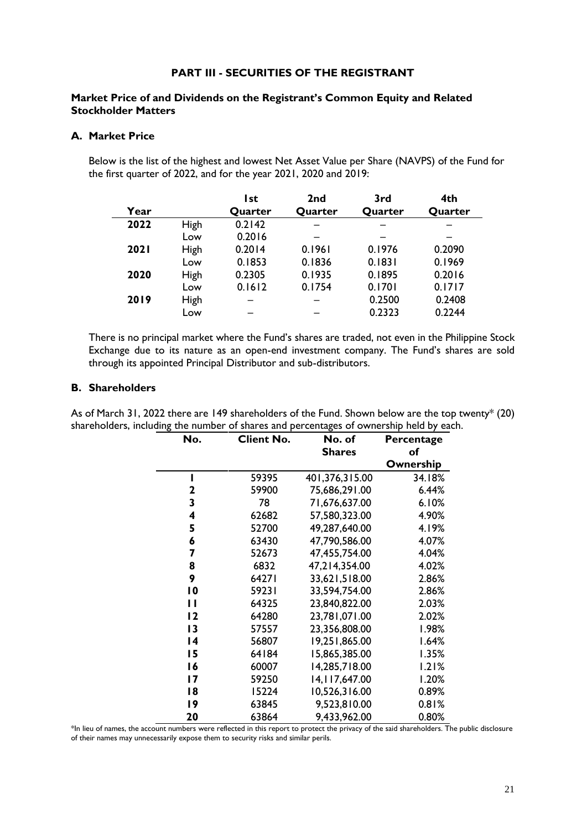## **PART III - SECURITIES OF THE REGISTRANT**

## **Market Price of and Dividends on the Registrant's Common Equity and Related Stockholder Matters**

## **A. Market Price**

Below is the list of the highest and lowest Net Asset Value per Share (NAVPS) of the Fund for the first quarter of 2022, and for the year 2021, 2020 and 2019:

|             |      | l st    | 2 <sub>nd</sub> | 3rd     | 4th     |
|-------------|------|---------|-----------------|---------|---------|
| Year        |      | Quarter | Quarter         | Quarter | Quarter |
| 2022        | High | 0.2142  |                 |         |         |
|             | Low  | 0.2016  |                 |         |         |
| <b>2021</b> | High | 0.2014  | 0.1961          | 0.1976  | 0.2090  |
|             | Low  | 0.1853  | 0.1836          | 0.1831  | 0.1969  |
| 2020        | High | 0.2305  | 0.1935          | 0.1895  | 0.2016  |
|             | Low  | 0.1612  | 0.1754          | 0.1701  | 0.1717  |
| 2019        | High |         |                 | 0.2500  | 0.2408  |
|             | Low  |         |                 | 0.2323  | 0.2244  |

There is no principal market where the Fund's shares are traded, not even in the Philippine Stock Exchange due to its nature as an open-end investment company. The Fund's shares are sold through its appointed Principal Distributor and sub-distributors.

### **B. Shareholders**

As of March 31, 2022 there are 149 shareholders of the Fund. Shown below are the top twenty\* (20) shareholders, including the number of shares and percentages of ownership held by each.

| No.             | <b>Client No.</b> | No. of          | Percentage |
|-----------------|-------------------|-----------------|------------|
|                 |                   | <b>Shares</b>   | of         |
|                 |                   |                 | Ownership  |
| ı               | 59395             | 401,376,315.00  | 34.18%     |
| 2               | 59900             | 75,686,291.00   | 6.44%      |
| 3               | 78                | 71,676,637.00   | 6.10%      |
| 4               | 62682             | 57,580,323.00   | 4.90%      |
| 5               | 52700             | 49,287,640.00   | 4.19%      |
| 6               | 63430             | 47,790,586.00   | 4.07%      |
| 7               | 52673             | 47,455,754.00   | 4.04%      |
| 8               | 6832              | 47,214,354.00   | 4.02%      |
| 9               | 64271             | 33,621,518.00   | 2.86%      |
| 10              | 59231             | 33,594,754.00   | 2.86%      |
| $\mathbf{H}$    | 64325             | 23,840,822.00   | 2.03%      |
| 12              | 64280             | 23,781,071.00   | 2.02%      |
| $\overline{13}$ | 57557             | 23,356,808.00   | 1.98%      |
| 4               | 56807             | 19,251,865.00   | 1.64%      |
| 15              | 64184             | 15,865,385.00   | 1.35%      |
| 16              | 60007             | 14,285,718.00   | 1.21%      |
| $\overline{17}$ | 59250             | 14, 117, 647.00 | 1.20%      |
| 18              | 15224             | 10,526,316.00   | 0.89%      |
| 9               | 63845             | 9,523,810.00    | 0.81%      |
| 20              | 63864             | 9,433,962.00    | 0.80%      |

\*In lieu of names, the account numbers were reflected in this report to protect the privacy of the said shareholders. The public disclosure of their names may unnecessarily expose them to security risks and similar perils.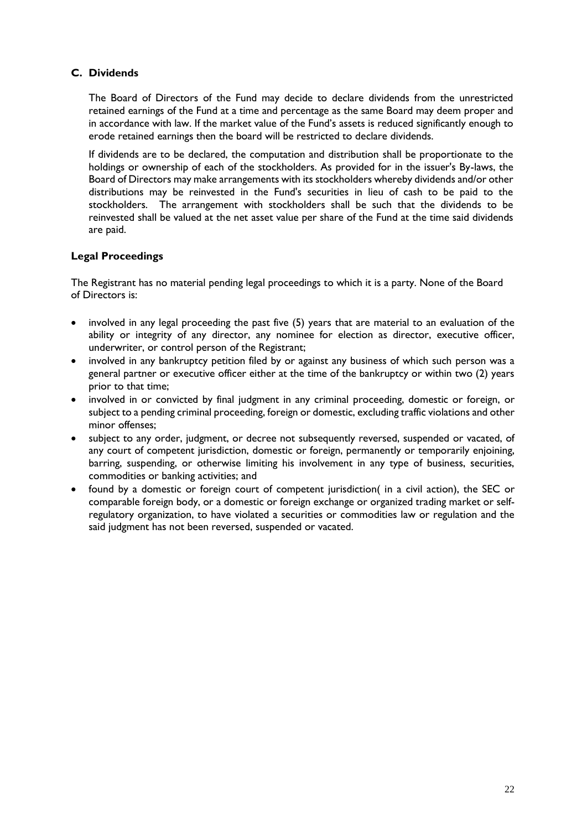# **C. Dividends**

The Board of Directors of the Fund may decide to declare dividends from the unrestricted retained earnings of the Fund at a time and percentage as the same Board may deem proper and in accordance with law. If the market value of the Fund's assets is reduced significantly enough to erode retained earnings then the board will be restricted to declare dividends.

If dividends are to be declared, the computation and distribution shall be proportionate to the holdings or ownership of each of the stockholders. As provided for in the issuer's By-laws, the Board of Directors may make arrangements with its stockholders whereby dividends and/or other distributions may be reinvested in the Fund's securities in lieu of cash to be paid to the stockholders. The arrangement with stockholders shall be such that the dividends to be reinvested shall be valued at the net asset value per share of the Fund at the time said dividends are paid.

# **Legal Proceedings**

The Registrant has no material pending legal proceedings to which it is a party. None of the Board of Directors is:

- involved in any legal proceeding the past five (5) years that are material to an evaluation of the ability or integrity of any director, any nominee for election as director, executive officer, underwriter, or control person of the Registrant;
- involved in any bankruptcy petition filed by or against any business of which such person was a general partner or executive officer either at the time of the bankruptcy or within two (2) years prior to that time;
- involved in or convicted by final judgment in any criminal proceeding, domestic or foreign, or subject to a pending criminal proceeding, foreign or domestic, excluding traffic violations and other minor offenses;
- subject to any order, judgment, or decree not subsequently reversed, suspended or vacated, of any court of competent jurisdiction, domestic or foreign, permanently or temporarily enjoining, barring, suspending, or otherwise limiting his involvement in any type of business, securities, commodities or banking activities; and
- found by a domestic or foreign court of competent jurisdiction( in a civil action), the SEC or comparable foreign body, or a domestic or foreign exchange or organized trading market or selfregulatory organization, to have violated a securities or commodities law or regulation and the said judgment has not been reversed, suspended or vacated.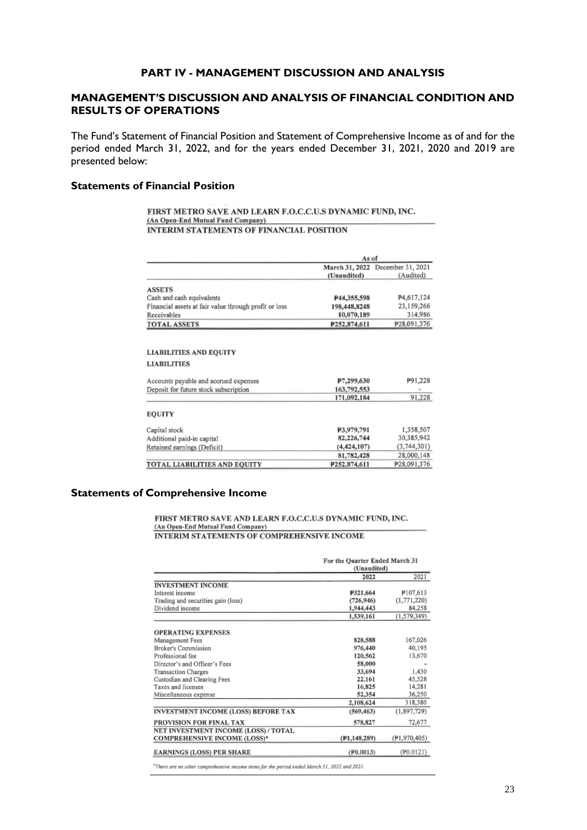## **PART IV - MANAGEMENT DISCUSSION AND ANALYSIS**

# **MANAGEMENT'S DISCUSSION AND ANALYSIS OF FINANCIAL CONDITION AND RESULTS OF OPERATIONS**

The Fund's Statement of Financial Position and Statement of Comprehensive Income as of and for the period ended March 31, 2022, and for the years ended December 31, 2021, 2020 and 2019 are presented below:

### **Statements of Financial Position**

FIRST METRO SAVE AND LEARN F.O.C.C.U.S DYNAMIC FUND, INC. (An Open-End Mutual Fund Company) INTERIM STATEMENTS OF FINANCIAL POSITION

|                                                       | March 31, 2022 |                   |
|-------------------------------------------------------|----------------|-------------------|
|                                                       |                | December 31, 2021 |
|                                                       | (Unaudited)    | (Audited)         |
| <b>ASSETS</b>                                         |                |                   |
| Cash and cash equivalents                             | P44,355,598    | P4,617,124        |
| Financial assets at fair value through profit or loss | 198,448,8248   | 23,159,266        |
| Receivables                                           | 10,070,189     | 314,986           |
|                                                       | P252,874,611   | P28,091,376       |
| <b>TOTAL ASSETS</b>                                   |                |                   |

| Accounts payable and accrued expenses | P7,299,630   | P91,228     |
|---------------------------------------|--------------|-------------|
| Deposit for future stock subscription | 163,792,553  |             |
|                                       | 171,092,184  | 91,228      |
| <b>EOUITY</b>                         |              |             |
| Capital stock                         | P3,979,791   | 1,358,507   |
| Additional paid-in capital            | 82,226,744   | 30,385,942  |
| Retained earnings (Deficit)           | (4.424, 107) | (3,744,301) |
|                                       | 81,782,428   | 28,000,148  |
| TOTAL LIABILITIES AND EQUITY          | P252,874,611 | P28,091,376 |

# **Statements of Comprehensive Income**

FIRST METRO SAVE AND LEARN F.O.C.C.U.S DYNAMIC FUND, INC. (An Open-End Mutual Fund Company)

INTERIM STATEMENTS OF COMPREHENSIVE INCOME

|                                            | For the Quarter Ended March 31<br>(Unaudited) |                 |
|--------------------------------------------|-----------------------------------------------|-----------------|
|                                            | 2022                                          | 2021            |
| <b>INVESTMENT INCOME</b>                   |                                               |                 |
| Interest income                            | P321,664                                      | P107.613        |
| Trading and securities gain (loss)         | (726, 946)                                    | (1,771,220)     |
| Dividend income                            | 1,944,443                                     | 84,258          |
|                                            | 1,539,161                                     | (1.579.349)     |
| <b>OPERATING EXPENSES</b>                  |                                               |                 |
| Management Fees                            | 828,588                                       | 167,026         |
| Broker's Commission                        | 976,440                                       | 40,195          |
| Professional fee                           | 120,562                                       | 13,670          |
| Director's and Officer's Fees              | 58,000                                        |                 |
| <b>Transaction Charges</b>                 | 33,694                                        | 1,430           |
| Custodian and Clearing Fees                | 22,161                                        | 45,528          |
| Taxes and licenses                         | 16,825                                        | 14,281          |
| Miscellaneous expense                      | 52,354                                        | 36,250          |
|                                            | 2,108,624                                     | 318,380         |
| <b>INVESTMENT INCOME (LOSS) BEFORE TAX</b> | (569, 463)                                    | (1,897,729)     |
| PROVISION FOR FINAL TAX                    | 578,827                                       | 72,677          |
| NET INVESTMENT INCOME (LOSS) / TOTAL       |                                               |                 |
| <b>COMPREHENSIVE INCOME (LOSS)*</b>        | $($ P1,148,289)                               | $($ P1,970,405) |
| <b>EARNINGS (LOSS) PER SHARE</b>           | $($ P0.0013)                                  | (F0.0121)       |

\*There are no other comprehensive income items for the period ended March 31, 2022 and 2021.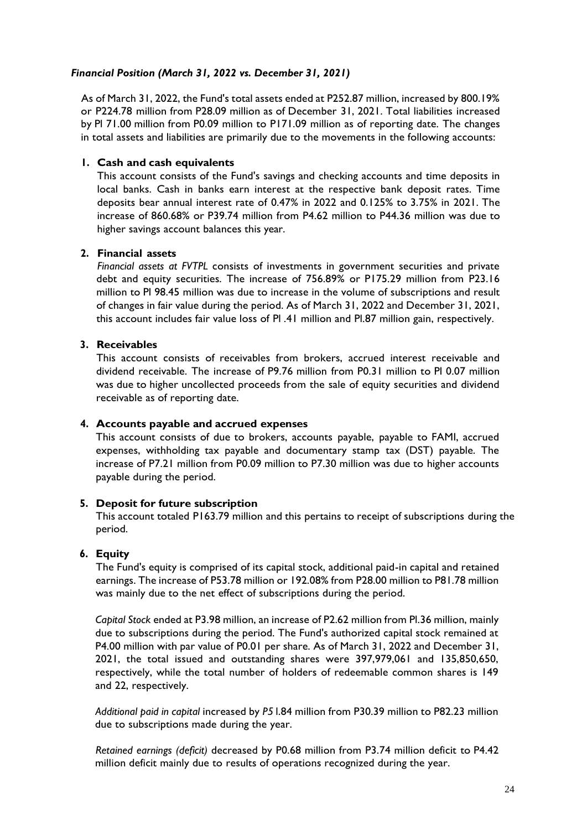# *Financial Position (March 31, 2022 vs. December 31, 2021)*

As of March 31, 2022, the Fund's total assets ended at P252.87 million, increased by 800.19% or P224.78 million from P28.09 million as of December 31, 2021. Total liabilities increased by Pl 71.00 million from P0.09 million to P171.09 million as of reporting date. The changes in total assets and liabilities are primarily due to the movements in the following accounts:

# **1. Cash and cash equivalents**

This account consists of the Fund's savings and checking accounts and time deposits in local banks. Cash in banks earn interest at the respective bank deposit rates. Time deposits bear annual interest rate of 0.47% in 2022 and 0.125% to 3.75% in 2021. The increase of 860.68% or P39.74 million from P4.62 million to P44.36 million was due to higher savings account balances this year.

# **2. Financial assets**

*Financial assets at FVTPL* consists of investments in government securities and private debt and equity securities. The increase of 756.89% or P175.29 million from P23.16 million to Pl 98.45 million was due to increase in the volume of subscriptions and result of changes in fair value during the period. As of March 31, 2022 and December 31, 2021, this account includes fair value loss of Pl .41 million and Pl.87 million gain, respectively.

## **3. Receivables**

This account consists of receivables from brokers, accrued interest receivable and dividend receivable. The increase of P9.76 million from P0.31 million to Pl 0.07 million was due to higher uncollected proceeds from the sale of equity securities and dividend receivable as of reporting date.

### **4. Accounts payable and accrued expenses**

This account consists of due to brokers, accounts payable, payable to FAMI, accrued expenses, withholding tax payable and documentary stamp tax (DST) payable. The increase of P7.21 million from P0.09 million to P7.30 million was due to higher accounts payable during the period.

# **5. Deposit for future subscription**

This account totaled P163.79 million and this pertains to receipt of subscriptions during the period.

# **6. Equity**

The Fund's equity is comprised of its capital stock, additional paid-in capital and retained earnings. The increase of P53.78 million or 192.08% from P28.00 million to P81.78 million was mainly due to the net effect of subscriptions during the period.

*Capital Stock* ended at P3.98 million, an increase of P2.62 million from Pl.36 million, mainly due to subscriptions during the period. The Fund's authorized capital stock remained at P4.00 million with par value of P0.01 per share. As of March 31, 2022 and December 31, 2021, the total issued and outstanding shares were 397,979,061 and 135,850,650, respectively, while the total number of holders of redeemable common shares is 149 and 22, respectively.

*Additional paid in capital* increased by *P5* l.84 million from P30.39 million to P82.23 million due to subscriptions made during the year.

*Retained earnings (deficit)* decreased by P0.68 million from P3.74 million deficit to P4.42 million deficit mainly due to results of operations recognized during the year.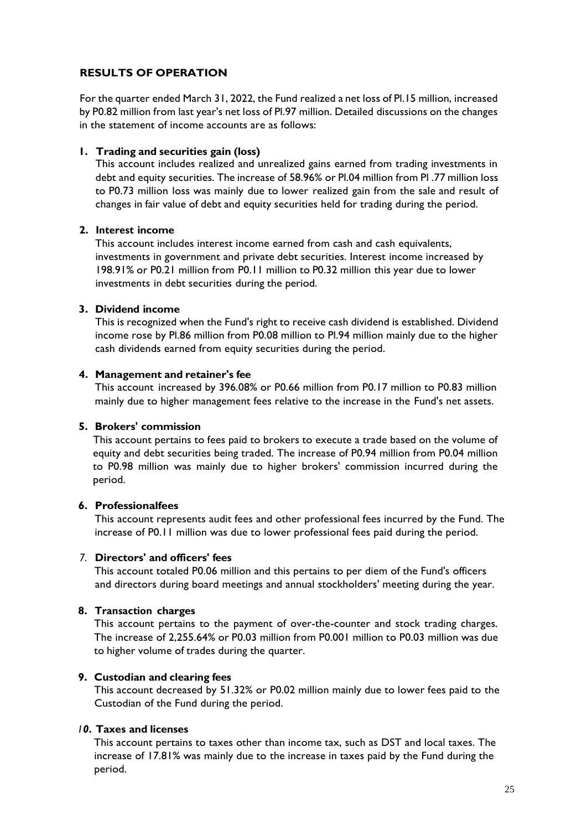# **RESULTS OF OPERATION**

For the quarter ended March 31, 2022, the Fund realized a net loss of Pl.15 million, increased by P0.82 million from last year's net loss of Pl.97 million. Detailed discussions on the changes in the statement of income accounts are as follows:

# **1. Trading and securities gain (loss)**

This account includes realized and unrealized gains earned from trading investments in debt and equity securities. The increase of 58.96% or Pl.04 million from Pl .77 million loss to P0.73 million loss was mainly due to lower realized gain from the sale and result of changes in fair value of debt and equity securities held for trading during the period.

# **2. Interest income**

This account includes interest income earned from cash and cash equivalents, investments in government and private debt securities. Interest income increased by 198.91% or P0.21 million from P0.11 million to P0.32 million this year due to lower investments in debt securities during the period.

## **3. Dividend income**

This is recognized when the Fund's right to receive cash dividend is established. Dividend income rose by Pl.86 million from P0.08 million to Pl.94 million mainly due to the higher cash dividends earned from equity securities during the period.

## **4. Management and retainer's fee**

This account increased by 396.08% or P0.66 million from P0.17 million to P0.83 million mainly due to higher management fees relative to the increase in the Fund's net assets.

# **5. Brokers' commission**

This account pertains to fees paid to brokers to execute a trade based on the volume of equity and debt securities being traded. The increase of P0.94 million from P0.04 million to P0.98 million was mainly due to higher brokers' commission incurred during the period.

### **6. Professionalfees**

This account represents audit fees and other professional fees incurred by the Fund. The increase of P0.11 million was due to lower professional fees paid during the period.

# *7.* **Directors' and officers' fees**

This account totaled P0.06 million and this pertains to per diem of the Fund's officers and directors during board meetings and annual stockholders' meeting during the year.

# **8. Transaction charges**

This account pertains to the payment of over-the-counter and stock trading charges. The increase of 2,255.64% or P0.03 million from P0.001 million to P0.03 million was due to higher volume of trades during the quarter.

# **9. Custodian and clearing fees**

This account decreased by 51.32% or P0.02 million mainly due to lower fees paid to the Custodian of the Fund during the period.

### *I 0***. Taxes and licenses**

This account pertains to taxes other than income tax, such as DST and local taxes. The increase of 17.81% was mainly due to the increase in taxes paid by the Fund during the period.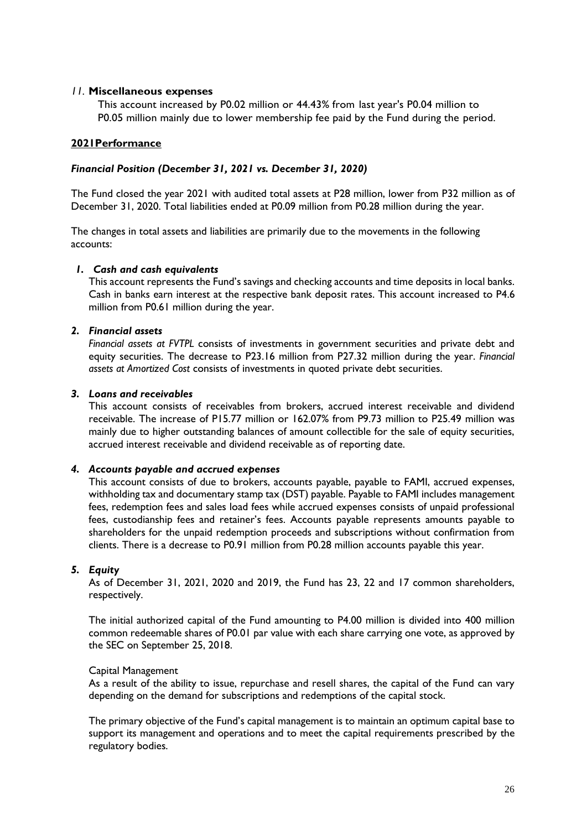### *11.* **Miscellaneous expenses**

This account increased by P0.02 million or 44.43% from last year's P0.04 million to P0.05 million mainly due to lower membership fee paid by the Fund during the period.

### **2021Performance**

### *Financial Position (December 31, 2021 vs. December 31, 2020)*

The Fund closed the year 2021 with audited total assets at P28 million, lower from P32 million as of December 31, 2020. Total liabilities ended at P0.09 million from P0.28 million during the year.

The changes in total assets and liabilities are primarily due to the movements in the following accounts:

### *1. Cash and cash equivalents*

This account represents the Fund's savings and checking accounts and time deposits in local banks. Cash in banks earn interest at the respective bank deposit rates. This account increased to P4.6 million from P0.61 million during the year.

## *2. Financial assets*

*Financial assets at FVTPL* consists of investments in government securities and private debt and equity securities. The decrease to P23.16 million from P27.32 million during the year. *Financial assets at Amortized Cost* consists of investments in quoted private debt securities.

## *3. Loans and receivables*

This account consists of receivables from brokers, accrued interest receivable and dividend receivable. The increase of P15.77 million or 162.07% from P9.73 million to P25.49 million was mainly due to higher outstanding balances of amount collectible for the sale of equity securities, accrued interest receivable and dividend receivable as of reporting date.

### *4. Accounts payable and accrued expenses*

This account consists of due to brokers, accounts payable, payable to FAMI, accrued expenses, withholding tax and documentary stamp tax (DST) payable. Payable to FAMI includes management fees, redemption fees and sales load fees while accrued expenses consists of unpaid professional fees, custodianship fees and retainer's fees. Accounts payable represents amounts payable to shareholders for the unpaid redemption proceeds and subscriptions without confirmation from clients. There is a decrease to P0.91 million from P0.28 million accounts payable this year.

### *5. Equity*

As of December 31, 2021, 2020 and 2019, the Fund has 23, 22 and 17 common shareholders, respectively.

The initial authorized capital of the Fund amounting to P4.00 million is divided into 400 million common redeemable shares of P0.01 par value with each share carrying one vote, as approved by the SEC on September 25, 2018.

### Capital Management

As a result of the ability to issue, repurchase and resell shares, the capital of the Fund can vary depending on the demand for subscriptions and redemptions of the capital stock.

The primary objective of the Fund's capital management is to maintain an optimum capital base to support its management and operations and to meet the capital requirements prescribed by the regulatory bodies.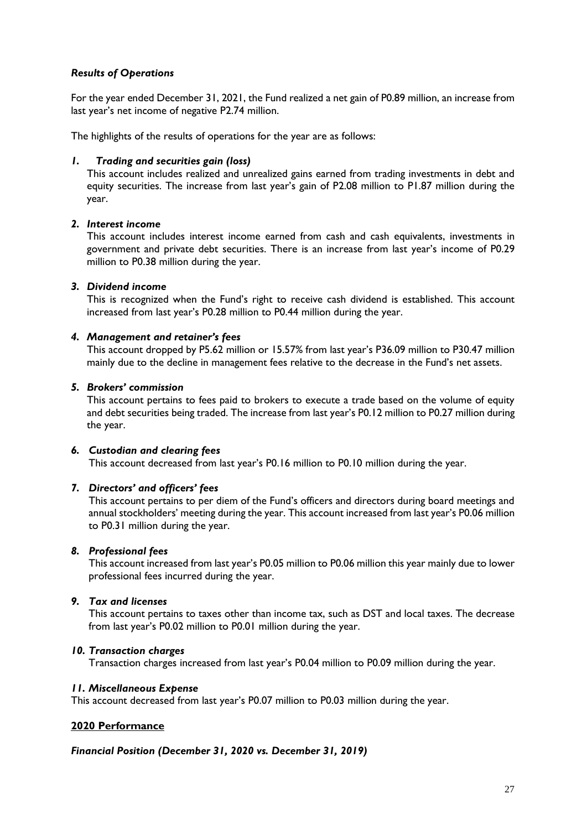# *Results of Operations*

For the year ended December 31, 2021, the Fund realized a net gain of P0.89 million, an increase from last year's net income of negative P2.74 million.

The highlights of the results of operations for the year are as follows:

### *1. Trading and securities gain (loss)*

This account includes realized and unrealized gains earned from trading investments in debt and equity securities. The increase from last year's gain of P2.08 million to P1.87 million during the year.

### *2. Interest income*

This account includes interest income earned from cash and cash equivalents, investments in government and private debt securities. There is an increase from last year's income of P0.29 million to P0.38 million during the year.

#### *3. Dividend income*

This is recognized when the Fund's right to receive cash dividend is established. This account increased from last year's P0.28 million to P0.44 million during the year.

#### *4. Management and retainer's fees*

This account dropped by P5.62 million or 15.57% from last year's P36.09 million to P30.47 million mainly due to the decline in management fees relative to the decrease in the Fund's net assets.

#### *5. Brokers' commission*

This account pertains to fees paid to brokers to execute a trade based on the volume of equity and debt securities being traded. The increase from last year's P0.12 million to P0.27 million during the year.

#### *6. Custodian and clearing fees*

This account decreased from last year's P0.16 million to P0.10 million during the year.

### *7. Directors' and officers' fees*

This account pertains to per diem of the Fund's officers and directors during board meetings and annual stockholders' meeting during the year. This account increased from last year's P0.06 million to P0.31 million during the year.

#### *8. Professional fees*

This account increased from last year's P0.05 million to P0.06 million this year mainly due to lower professional fees incurred during the year.

### *9. Tax and licenses*

This account pertains to taxes other than income tax, such as DST and local taxes. The decrease from last year's P0.02 million to P0.01 million during the year.

#### *10. Transaction charges*

Transaction charges increased from last year's P0.04 million to P0.09 million during the year.

#### *11. Miscellaneous Expense*

This account decreased from last year's P0.07 million to P0.03 million during the year.

### **2020 Performance**

### *Financial Position (December 31, 2020 vs. December 31, 2019)*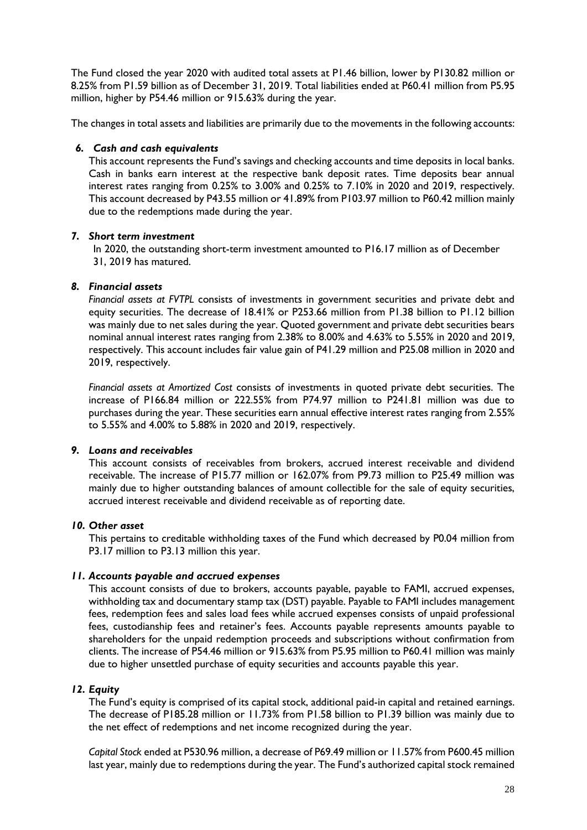The Fund closed the year 2020 with audited total assets at P1.46 billion, lower by P130.82 million or 8.25% from P1.59 billion as of December 31, 2019. Total liabilities ended at P60.41 million from P5.95 million, higher by P54.46 million or 915.63% during the year.

The changes in total assets and liabilities are primarily due to the movements in the following accounts:

### *6. Cash and cash equivalents*

This account represents the Fund's savings and checking accounts and time deposits in local banks. Cash in banks earn interest at the respective bank deposit rates. Time deposits bear annual interest rates ranging from 0.25% to 3.00% and 0.25% to 7.10% in 2020 and 2019, respectively. This account decreased by P43.55 million or 41.89% from P103.97 million to P60.42 million mainly due to the redemptions made during the year.

## *7. Short term investment*

In 2020, the outstanding short-term investment amounted to P16.17 million as of December 31, 2019 has matured.

# *8. Financial assets*

*Financial assets at FVTPL* consists of investments in government securities and private debt and equity securities. The decrease of 18.41% or P253.66 million from P1.38 billion to P1.12 billion was mainly due to net sales during the year. Quoted government and private debt securities bears nominal annual interest rates ranging from 2.38% to 8.00% and 4.63% to 5.55% in 2020 and 2019, respectively. This account includes fair value gain of P41.29 million and P25.08 million in 2020 and 2019, respectively.

*Financial assets at Amortized Cost* consists of investments in quoted private debt securities. The increase of P166.84 million or 222.55% from P74.97 million to P241.81 million was due to purchases during the year. These securities earn annual effective interest rates ranging from 2.55% to 5.55% and 4.00% to 5.88% in 2020 and 2019, respectively.

# *9. Loans and receivables*

This account consists of receivables from brokers, accrued interest receivable and dividend receivable. The increase of P15.77 million or 162.07% from P9.73 million to P25.49 million was mainly due to higher outstanding balances of amount collectible for the sale of equity securities, accrued interest receivable and dividend receivable as of reporting date.

### *10. Other asset*

This pertains to creditable withholding taxes of the Fund which decreased by P0.04 million from P3.17 million to P3.13 million this year.

## *11. Accounts payable and accrued expenses*

This account consists of due to brokers, accounts payable, payable to FAMI, accrued expenses, withholding tax and documentary stamp tax (DST) payable. Payable to FAMI includes management fees, redemption fees and sales load fees while accrued expenses consists of unpaid professional fees, custodianship fees and retainer's fees. Accounts payable represents amounts payable to shareholders for the unpaid redemption proceeds and subscriptions without confirmation from clients. The increase of P54.46 million or 915.63% from P5.95 million to P60.41 million was mainly due to higher unsettled purchase of equity securities and accounts payable this year.

### *12. Equity*

The Fund's equity is comprised of its capital stock, additional paid-in capital and retained earnings. The decrease of P185.28 million or 11.73% from P1.58 billion to P1.39 billion was mainly due to the net effect of redemptions and net income recognized during the year.

*Capital Stock* ended at P530.96 million, a decrease of P69.49 million or 11.57% from P600.45 million last year, mainly due to redemptions during the year. The Fund's authorized capital stock remained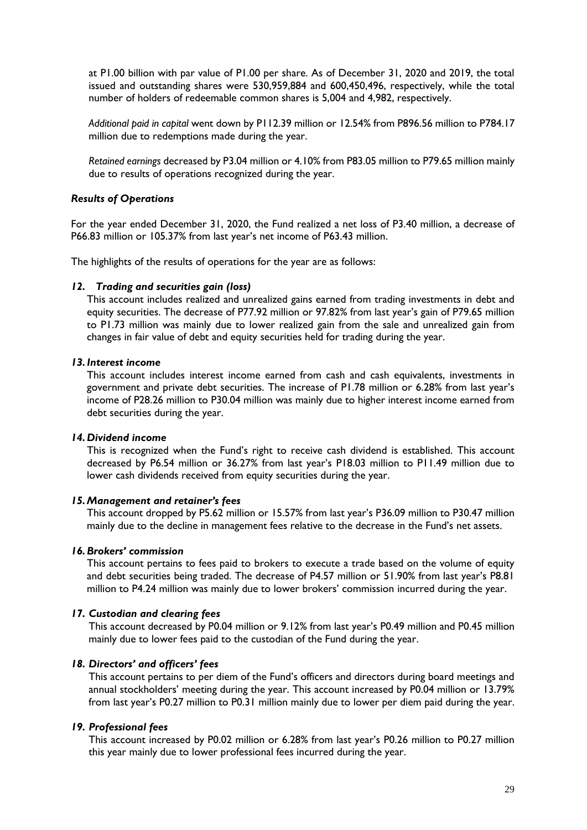at P1.00 billion with par value of P1.00 per share. As of December 31, 2020 and 2019, the total issued and outstanding shares were 530,959,884 and 600,450,496, respectively, while the total number of holders of redeemable common shares is 5,004 and 4,982, respectively.

*Additional paid in capital* went down by P112.39 million or 12.54% from P896.56 million to P784.17 million due to redemptions made during the year.

*Retained earnings* decreased by P3.04 million or 4.10% from P83.05 million to P79.65 million mainly due to results of operations recognized during the year.

#### *Results of Operations*

For the year ended December 31, 2020, the Fund realized a net loss of P3.40 million, a decrease of P66.83 million or 105.37% from last year's net income of P63.43 million.

The highlights of the results of operations for the year are as follows:

#### *12. Trading and securities gain (loss)*

This account includes realized and unrealized gains earned from trading investments in debt and equity securities. The decrease of P77.92 million or 97.82% from last year's gain of P79.65 million to P1.73 million was mainly due to lower realized gain from the sale and unrealized gain from changes in fair value of debt and equity securities held for trading during the year.

#### *13.Interest income*

This account includes interest income earned from cash and cash equivalents, investments in government and private debt securities. The increase of P1.78 million or 6.28% from last year's income of P28.26 million to P30.04 million was mainly due to higher interest income earned from debt securities during the year.

#### *14.Dividend income*

This is recognized when the Fund's right to receive cash dividend is established. This account decreased by P6.54 million or 36.27% from last year's P18.03 million to P11.49 million due to lower cash dividends received from equity securities during the year.

#### *15.Management and retainer's fees*

This account dropped by P5.62 million or 15.57% from last year's P36.09 million to P30.47 million mainly due to the decline in management fees relative to the decrease in the Fund's net assets.

#### *16.Brokers' commission*

This account pertains to fees paid to brokers to execute a trade based on the volume of equity and debt securities being traded. The decrease of P4.57 million or 51.90% from last year's P8.81 million to P4.24 million was mainly due to lower brokers' commission incurred during the year.

#### *17. Custodian and clearing fees*

This account decreased by P0.04 million or 9.12% from last year's P0.49 million and P0.45 million mainly due to lower fees paid to the custodian of the Fund during the year.

#### *18. Directors' and officers' fees*

This account pertains to per diem of the Fund's officers and directors during board meetings and annual stockholders' meeting during the year. This account increased by P0.04 million or 13.79% from last year's P0.27 million to P0.31 million mainly due to lower per diem paid during the year.

#### *19. Professional fees*

This account increased by P0.02 million or 6.28% from last year's P0.26 million to P0.27 million this year mainly due to lower professional fees incurred during the year.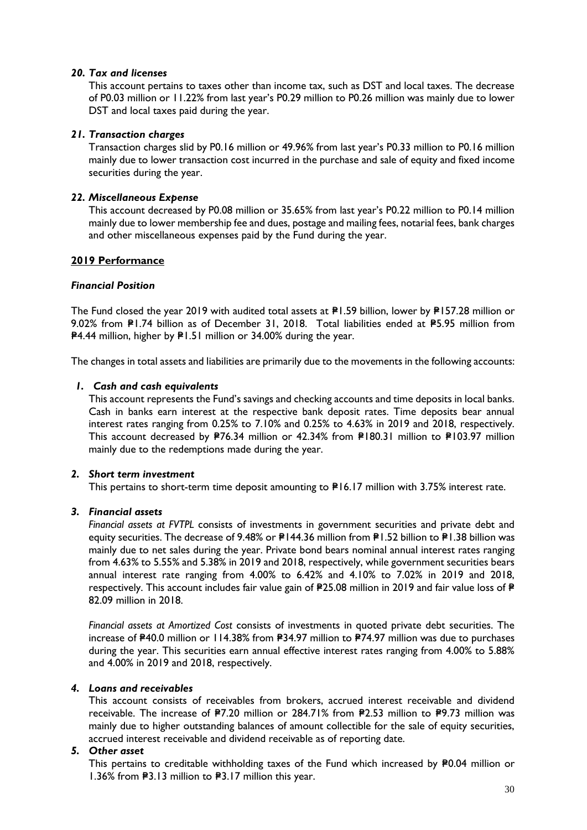### *20. Tax and licenses*

This account pertains to taxes other than income tax, such as DST and local taxes. The decrease of P0.03 million or 11.22% from last year's P0.29 million to P0.26 million was mainly due to lower DST and local taxes paid during the year.

## *21. Transaction charges*

Transaction charges slid by P0.16 million or 49.96% from last year's P0.33 million to P0.16 million mainly due to lower transaction cost incurred in the purchase and sale of equity and fixed income securities during the year.

## *22. Miscellaneous Expense*

This account decreased by P0.08 million or 35.65% from last year's P0.22 million to P0.14 million mainly due to lower membership fee and dues, postage and mailing fees, notarial fees, bank charges and other miscellaneous expenses paid by the Fund during the year.

## **2019 Performance**

## *Financial Position*

The Fund closed the year 2019 with audited total assets at  $PI.59$  billion, lower by  $PI57.28$  million or 9.02% from P1.74 billion as of December 31, 2018. Total liabilities ended at P5.95 million from **P4.44 million, higher by P1.51 million or 34.00% during the year.** 

The changes in total assets and liabilities are primarily due to the movements in the following accounts:

### *1. Cash and cash equivalents*

This account represents the Fund's savings and checking accounts and time deposits in local banks. Cash in banks earn interest at the respective bank deposit rates. Time deposits bear annual interest rates ranging from 0.25% to 7.10% and 0.25% to 4.63% in 2019 and 2018, respectively. This account decreased by P76.34 million or 42.34% from P180.31 million to P103.97 million mainly due to the redemptions made during the year.

### *2. Short term investment*

This pertains to short-term time deposit amounting to  $P16.17$  million with 3.75% interest rate.

### *3. Financial assets*

*Financial assets at FVTPL* consists of investments in government securities and private debt and equity securities. The decrease of 9.48% or P144.36 million from P1.52 billion to P1.38 billion was mainly due to net sales during the year. Private bond bears nominal annual interest rates ranging from 4.63% to 5.55% and 5.38% in 2019 and 2018, respectively, while government securities bears annual interest rate ranging from 4.00% to 6.42% and 4.10% to 7.02% in 2019 and 2018, respectively. This account includes fair value gain of  $P25.08$  million in 2019 and fair value loss of  $P$ 82.09 million in 2018.

*Financial assets at Amortized Cost* consists of investments in quoted private debt securities. The increase of P40.0 million or 114.38% from P34.97 million to P74.97 million was due to purchases during the year. This securities earn annual effective interest rates ranging from 4.00% to 5.88% and 4.00% in 2019 and 2018, respectively.

### *4. Loans and receivables*

This account consists of receivables from brokers, accrued interest receivable and dividend receivable. The increase of P7.20 million or 284.71% from P2.53 million to P9.73 million was mainly due to higher outstanding balances of amount collectible for the sale of equity securities, accrued interest receivable and dividend receivable as of reporting date.

### *5. Other asset*

This pertains to creditable withholding taxes of the Fund which increased by P0.04 million or 1.36% from  $P3.13$  million to  $P3.17$  million this year.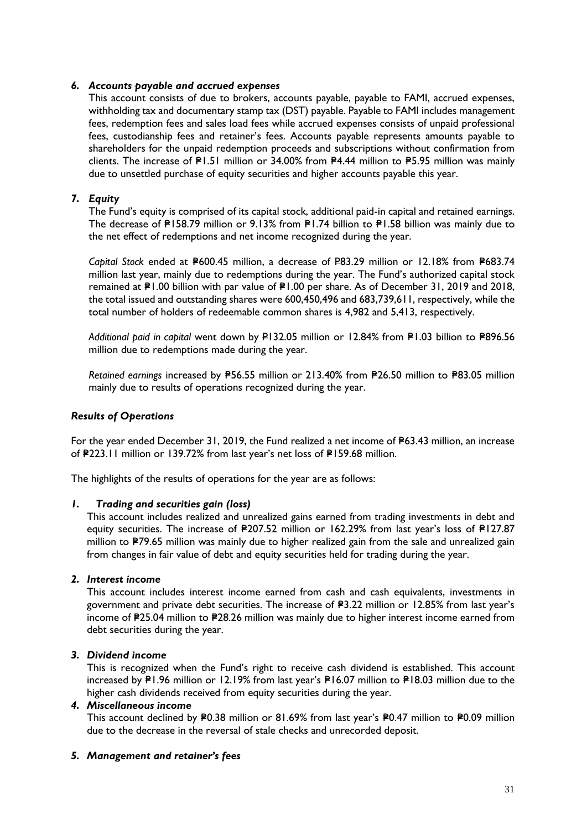## *6. Accounts payable and accrued expenses*

This account consists of due to brokers, accounts payable, payable to FAMI, accrued expenses, withholding tax and documentary stamp tax (DST) payable. Payable to FAMI includes management fees, redemption fees and sales load fees while accrued expenses consists of unpaid professional fees, custodianship fees and retainer's fees. Accounts payable represents amounts payable to shareholders for the unpaid redemption proceeds and subscriptions without confirmation from clients. The increase of  $PI.51$  million or 34.00% from  $PI.44$  million to  $PI.595$  million was mainly due to unsettled purchase of equity securities and higher accounts payable this year.

## *7. Equity*

The Fund's equity is comprised of its capital stock, additional paid-in capital and retained earnings. The decrease of P158.79 million or 9.13% from P1.74 billion to P1.58 billion was mainly due to the net effect of redemptions and net income recognized during the year.

*Capital Stock* ended at P600.45 million, a decrease of P83.29 million or 12.18% from P683.74 million last year, mainly due to redemptions during the year. The Fund's authorized capital stock remained at P1.00 billion with par value of P1.00 per share. As of December 31, 2019 and 2018, the total issued and outstanding shares were 600,450,496 and 683,739,611, respectively, while the total number of holders of redeemable common shares is 4,982 and 5,413, respectively.

Additional paid in capital went down by P132.05 million or 12.84% from P1.03 billion to P896.56 million due to redemptions made during the year.

Retained earnings increased by P56.55 million or 213.40% from P26.50 million to P83.05 million mainly due to results of operations recognized during the year.

### *Results of Operations*

For the year ended December 31, 2019, the Fund realized a net income of  $P63.43$  million, an increase of **P223.11 million or 139.72% from last year's net loss of P159.68 million.** 

The highlights of the results of operations for the year are as follows:

### *1. Trading and securities gain (loss)*

This account includes realized and unrealized gains earned from trading investments in debt and equity securities. The increase of P207.52 million or 162.29% from last year's loss of P127.87 million to P79.65 million was mainly due to higher realized gain from the sale and unrealized gain from changes in fair value of debt and equity securities held for trading during the year.

### *2. Interest income*

This account includes interest income earned from cash and cash equivalents, investments in government and private debt securities. The increase of P3.22 million or 12.85% from last year's income of P25.04 million to P28.26 million was mainly due to higher interest income earned from debt securities during the year.

### *3. Dividend income*

This is recognized when the Fund's right to receive cash dividend is established. This account increased by P1.96 million or 12.19% from last year's P16.07 million to P18.03 million due to the higher cash dividends received from equity securities during the year.

### *4. Miscellaneous income*

This account declined by P0.38 million or 81.69% from last year's P0.47 million to P0.09 million due to the decrease in the reversal of stale checks and unrecorded deposit.

### *5. Management and retainer's fees*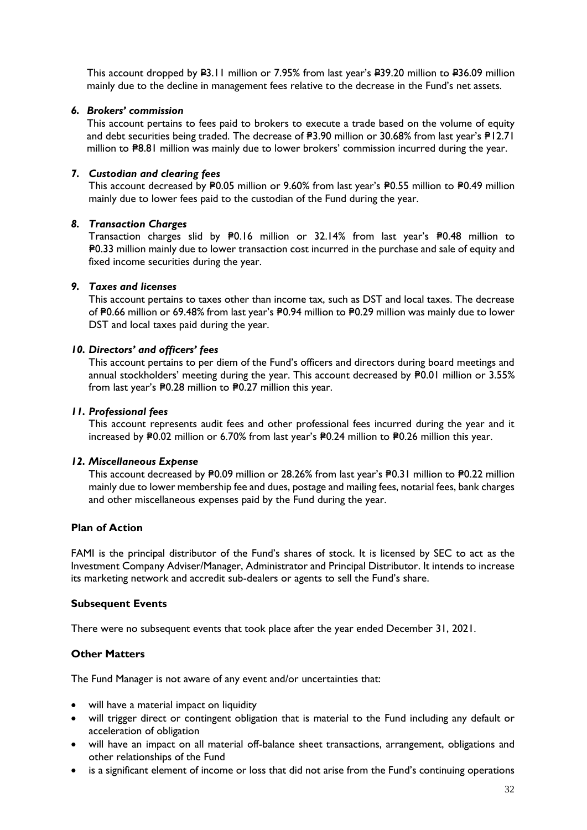This account dropped by P3.11 million or 7.95% from last year's P39.20 million to P36.09 million mainly due to the decline in management fees relative to the decrease in the Fund's net assets.

### *6. Brokers' commission*

This account pertains to fees paid to [brokers](http://financial-dictionary.thefreedictionary.com/Broker) to [execute](http://financial-dictionary.thefreedictionary.com/Execution) a [trade](http://financial-dictionary.thefreedictionary.com/Trade) based on the volume of equity and debt securities being traded. The decrease of  $P3.90$  million or 30.68% from last year's  $P12.71$ million to  $P8.81$  million was mainly due to lower brokers' commission incurred during the year.

#### *7. Custodian and clearing fees*

This account decreased by P0.05 million or 9.60% from last year's P0.55 million to P0.49 million mainly due to lower fees paid to the custodian of the Fund during the year.

#### *8. Transaction Charges*

Transaction charges slid by P0.16 million or 32.14% from last year's P0.48 million to =P0.33 million mainly due to lower transaction cost incurred in the purchase and sale of equity and fixed income securities during the year.

### *9. Taxes and licenses*

This account pertains to taxes other than income tax, such as DST and local taxes. The decrease of P0.66 million or 69.48% from last year's P0.94 million to P0.29 million was mainly due to lower DST and local taxes paid during the year.

#### *10. Directors' and officers' fees*

This account pertains to per diem of the Fund's officers and directors during board meetings and annual stockholders' meeting during the year. This account decreased by P0.01 million or 3.55% from last year's  $P0.28$  million to  $P0.27$  million this year.

#### *11. Professional fees*

This account represents audit fees and other professional fees incurred during the year and it increased by P0.02 million or 6.70% from last year's P0.24 million to P0.26 million this year.

#### *12. Miscellaneous Expense*

This account decreased by P0.09 million or 28.26% from last year's P0.31 million to P0.22 million mainly due to lower membership fee and dues, postage and mailing fees, notarial fees, bank charges and other miscellaneous expenses paid by the Fund during the year.

#### **Plan of Action**

FAMI is the principal distributor of the Fund's shares of stock. It is licensed by SEC to act as the Investment Company Adviser/Manager, Administrator and Principal Distributor. It intends to increase its marketing network and accredit sub-dealers or agents to sell the Fund's share.

#### **Subsequent Events**

There were no subsequent events that took place after the year ended December 31, 2021.

### **Other Matters**

The Fund Manager is not aware of any event and/or uncertainties that:

- will have a material impact on liquidity
- will trigger direct or contingent obligation that is material to the Fund including any default or acceleration of obligation
- will have an impact on all material off-balance sheet transactions, arrangement, obligations and other relationships of the Fund
- is a significant element of income or loss that did not arise from the Fund's continuing operations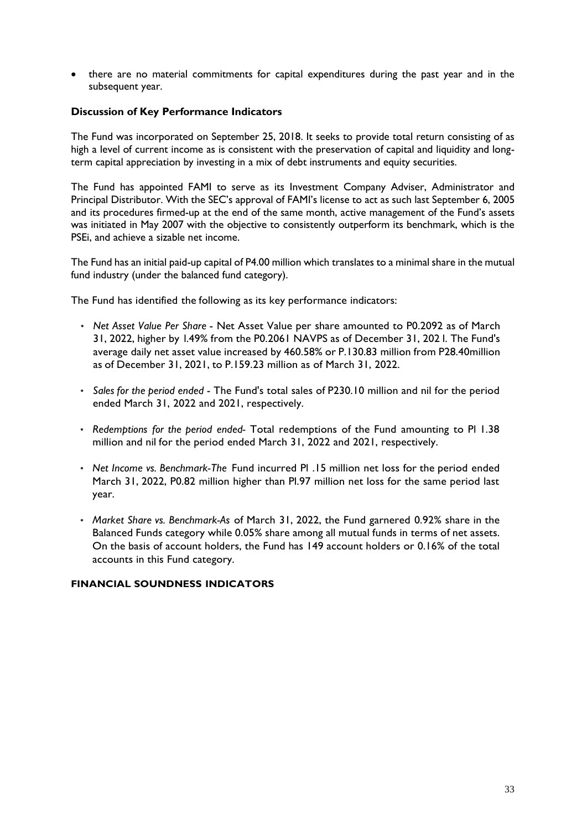• there are no material commitments for capital expenditures during the past year and in the subsequent year.

# **Discussion of Key Performance Indicators**

The Fund was incorporated on September 25, 2018. It seeks to provide total return consisting of as high a level of current income as is consistent with the preservation of capital and liquidity and longterm capital appreciation by investing in a mix of debt instruments and equity securities.

The Fund has appointed FAMI to serve as its Investment Company Adviser, Administrator and Principal Distributor. With the SEC's approval of FAMI's license to act as such last September 6, 2005 and its procedures firmed-up at the end of the same month, active management of the Fund's assets was initiated in May 2007 with the objective to consistently outperform its benchmark, which is the PSEi, and achieve a sizable net income.

The Fund has an initial paid-up capital of P4.00 million which translates to a minimal share in the mutual fund industry (under the balanced fund category).

The Fund has identified the following as its key performance indicators:

- *Net Asset Value Per Share* Net Asset Value per share amounted to P0.2092 as of March 31, 2022, higher by l.49% from the P0.2061 NAVPS as of December 31, 202 l. The Fund's average daily net asset value increased by 460.58% or P.130.83 million from P28.40million as of December 31, 2021, to P.159.23 million as of March 31, 2022.
- *Sales for the period ended* The Fund's total sales of P230.10 million and nil for the period ended March 31, 2022 and 2021, respectively.
- *Redemptions for the period ended-* Total redemptions of the Fund amounting to Pl 1.38 million and nil for the period ended March 31, 2022 and 2021, respectively.
- *Net Income vs. Benchmark-The* Fund incurred Pl .15 million net loss for the period ended March 31, 2022, P0.82 million higher than Pl.97 million net loss for the same period last year.
- *Market Share vs. Benchmark-As* of March 31, 2022, the Fund garnered 0.92% share in the Balanced Funds category while 0.05% share among all mutual funds in terms of net assets. On the basis of account holders, the Fund has 149 account holders or 0.16% of the total accounts in this Fund category.

### **FINANCIAL SOUNDNESS INDICATORS**